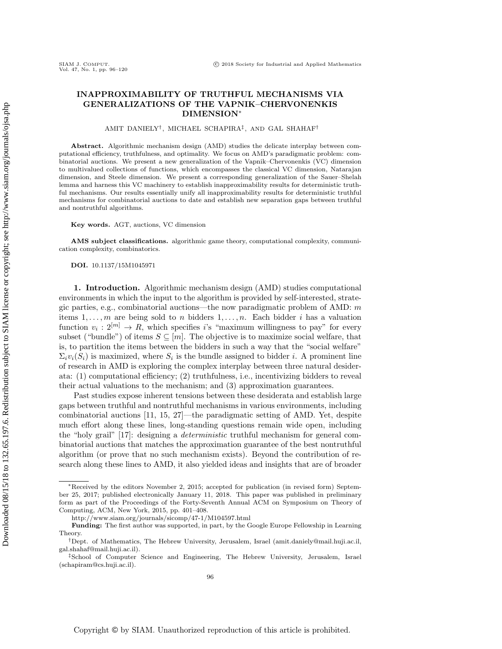# INAPPROXIMABILITY OF TRUTHFUL MECHANISMS VIA GENERALIZATIONS OF THE VAPNIK–CHERVONENKIS DIMENSION<sup>∗</sup>

#### AMIT DANIELY† , MICHAEL SCHAPIRA‡ , AND GAL SHAHAF†

Abstract. Algorithmic mechanism design (AMD) studies the delicate interplay between computational efficiency, truthfulness, and optimality. We focus on AMD's paradigmatic problem: combinatorial auctions. We present a new generalization of the Vapnik–Chervonenkis (VC) dimension to multivalued collections of functions, which encompasses the classical VC dimension, Natarajan dimension, and Steele dimension. We present a corresponding generalization of the Sauer–Shelah lemma and harness this VC machinery to establish inapproximability results for deterministic truthful mechanisms. Our results essentially unify all inapproximability results for deterministic truthful mechanisms for combinatorial auctions to date and establish new separation gaps between truthful and nontruthful algorithms.

Key words. AGT, auctions, VC dimension

AMS subject classifications. algorithmic game theory, computational complexity, communication complexity, combinatorics.

DOI. 10.1137/15M1045971

SIAM J. COMPUT.<br>Vol. 47, No. 1, pp. 96-120

1. Introduction. Algorithmic mechanism design (AMD) studies computational environments in which the input to the algorithm is provided by self-interested, strategic parties, e.g., combinatorial auctions—the now paradigmatic problem of  $\Lambda \text{MD}$ : m items  $1, \ldots, m$  are being sold to n bidders  $1, \ldots, n$ . Each bidder i has a valuation function  $v_i: 2^{[m]} \to R$ , which specifies is "maximum willingness to pay" for every subset ("bundle") of items  $S \subseteq [m]$ . The objective is to maximize social welfare, that is, to partition the items between the bidders in such a way that the "social welfare"  $\Sigma_i v_i(S_i)$  is maximized, where  $S_i$  is the bundle assigned to bidder *i*. A prominent line of research in AMD is exploring the complex interplay between three natural desiderata: (1) computational efficiency; (2) truthfulness, i.e., incentivizing bidders to reveal their actual valuations to the mechanism; and (3) approximation guarantees.

Past studies expose inherent tensions between these desiderata and establish large gaps between truthful and nontruthful mechanisms in various environments, including combinatorial auctions [\[11,](#page-23-0) [15,](#page-23-1) [27\]](#page-24-0)—the paradigmatic setting of AMD. Yet, despite much effort along these lines, long-standing questions remain wide open, including the "holy grail" [\[17\]](#page-24-1): designing a deterministic truthful mechanism for general combinatorial auctions that matches the approximation guarantee of the best nontruthful algorithm (or prove that no such mechanism exists). Beyond the contribution of research along these lines to AMD, it also yielded ideas and insights that are of broader

<sup>∗</sup>Received by the editors November 2, 2015; accepted for publication (in revised form) September 25, 2017; published electronically January 11, 2018. This paper was published in preliminary form as part of the Proceedings of the Forty-Seventh Annual ACM on Symposium on Theory of Computing, ACM, New York, 2015, pp. 401–408.

<http://www.siam.org/journals/sicomp/47-1/M104597.html>

Funding: The first author was supported, in part, by the Google Europe Fellowship in Learning Theory.

<sup>†</sup>Dept. of Mathematics, The Hebrew University, Jerusalem, Israel [\(amit.daniely@mail.huji.ac.il,](mailto:amit.daniely@mail.huji.ac.il) [gal.shahaf@mail.huji.ac.il\)](mailto:gal.shahaf@mail.huji.ac.il).

<sup>‡</sup>School of Computer Science and Engineering, The Hebrew University, Jerusalem, Israel [\(schapiram@cs.huji.ac.il\)](mailto:schapiram@cs.huji.ac.il).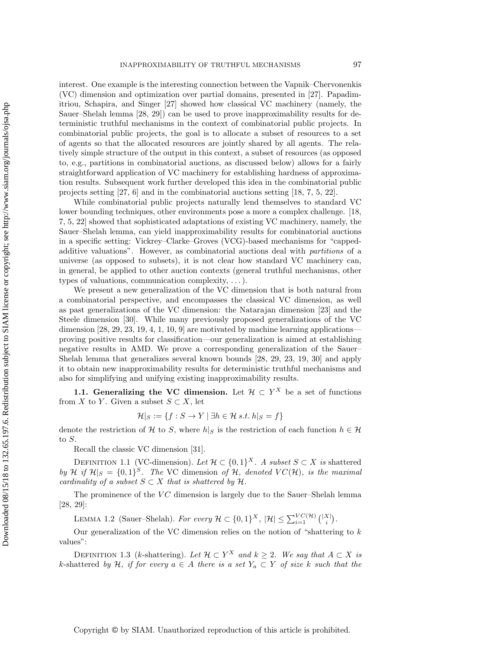interest. One example is the interesting connection between the Vapnik–Chervonenkis (VC) dimension and optimization over partial domains, presented in [\[27\]](#page-24-0). Papadimitriou, Schapira, and Singer [\[27\]](#page-24-0) showed how classical VC machinery (namely, the Sauer–Shelah lemma [\[28,](#page-24-2) [29\]](#page-24-3)) can be used to prove inapproximability results for deterministic truthful mechanisms in the context of combinatorial public projects. In combinatorial public projects, the goal is to allocate a subset of resources to a set of agents so that the allocated resources are jointly shared by all agents. The relatively simple structure of the output in this context, a subset of resources (as opposed to, e.g., partitions in combinatorial auctions, as discussed below) allows for a fairly straightforward application of VC machinery for establishing hardness of approximation results. Subsequent work further developed this idea in the combinatorial public projects setting [\[27,](#page-24-0) [6\]](#page-23-2) and in the combinatorial auctions setting [\[18,](#page-24-4) [7,](#page-23-3) [5,](#page-23-4) [22\]](#page-24-5).

While combinatorial public projects naturally lend themselves to standard VC lower bounding techniques, other environments pose a more a complex challenge. [\[18,](#page-24-4) [7,](#page-23-3) [5,](#page-23-4) [22\]](#page-24-5) showed that sophisticated adaptations of existing VC machinery, namely, the Sauer–Shelah lemma, can yield inapproximability results for combinatorial auctions in a specific setting: Vickrey–Clarke–Groves (VCG)-based mechanisms for "cappedadditive valuations". However, as combinatorial auctions deal with partitions of a universe (as opposed to subsets), it is not clear how standard VC machinery can, in general, be applied to other auction contexts (general truthful mechanisms, other types of valuations, communication complexity, . . . ).

We present a new generalization of the VC dimension that is both natural from a combinatorial perspective, and encompasses the classical VC dimension, as well as past generalizations of the VC dimension: the Natarajan dimension [\[23\]](#page-24-6) and the Steele dimension [\[30\]](#page-24-7). While many previously proposed generalizations of the VC dimension  $[28, 29, 23, 19, 4, 1, 10, 9]$  $[28, 29, 23, 19, 4, 1, 10, 9]$  $[28, 29, 23, 19, 4, 1, 10, 9]$  $[28, 29, 23, 19, 4, 1, 10, 9]$  $[28, 29, 23, 19, 4, 1, 10, 9]$  $[28, 29, 23, 19, 4, 1, 10, 9]$  $[28, 29, 23, 19, 4, 1, 10, 9]$  $[28, 29, 23, 19, 4, 1, 10, 9]$  are motivated by machine learning applications proving positive results for classification—our generalization is aimed at establishing negative results in AMD. We prove a corresponding generalization of the Sauer– Shelah lemma that generalizes several known bounds [\[28,](#page-24-2) [29,](#page-24-3) [23,](#page-24-6) [19,](#page-24-8) [30\]](#page-24-7) and apply it to obtain new inapproximability results for deterministic truthful mechanisms and also for simplifying and unifying existing inapproximability results.

1.1. Generalizing the VC dimension. Let  $\mathcal{H} \subset Y^X$  be a set of functions from X to Y. Given a subset  $S \subset X$ , let

$$
\mathcal{H}|_S := \{ f : S \to Y \mid \exists h \in \mathcal{H} \, s.t. \, h|_S = f \}
$$

denote the restriction of H to S, where  $h|_{S}$  is the restriction of each function  $h \in H$ to S.

Recall the classic VC dimension [\[31\]](#page-24-9).

DEFINITION 1.1 (VC-dimension). Let  $\mathcal{H} \subset \{0,1\}^X$ . A subset  $S \subset X$  is shattered by H if  $\mathcal{H}|_S = \{0,1\}^S$ . The VC dimension of H, denoted  $VC(\mathcal{H})$ , is the maximal cardinality of a subset  $S \subset X$  that is shattered by  $\mathcal{H}$ .

The prominence of the  $VC$  dimension is largely due to the Sauer–Shelah lemma [\[28,](#page-24-2) [29\]](#page-24-3):

LEMMA 1.2 (Sauer–Shelah). For every  $\mathcal{H} \subset \{0,1\}^X$ ,  $|\mathcal{H}| \leq \sum_{i=1}^{VC(\mathcal{H})} { |X| \choose i}.$ 

Our generalization of the VC dimension relies on the notion of "shattering to  $k$ values":

DEFINITION 1.3 (k-shattering). Let  $\mathcal{H} \subset Y^X$  and  $k \geq 2$ . We say that  $A \subset X$  is k-shattered by H, if for every  $a \in A$  there is a set  $Y_a \subset Y$  of size k such that the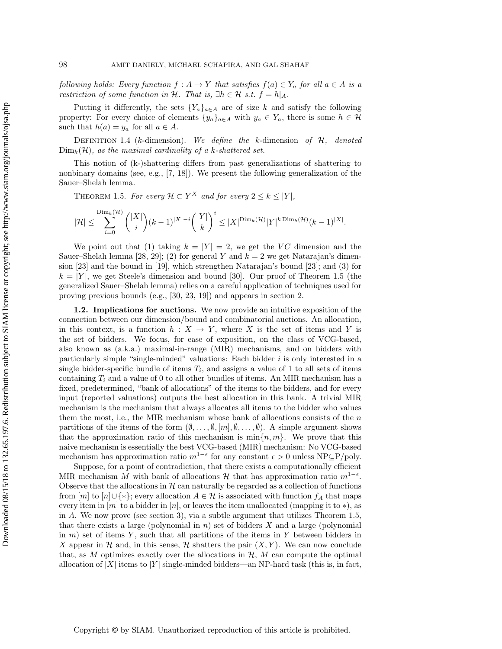following holds: Every function  $f : A \to Y$  that satisfies  $f(a) \in Y_a$  for all  $a \in A$  is a restriction of some function in H. That is,  $\exists h \in \mathcal{H}$  s.t.  $f = h|_A$ .

Putting it differently, the sets  ${Y_a}_{a \in A}$  are of size k and satisfy the following property: For every choice of elements  $\{y_a\}_{a \in A}$  with  $y_a \in Y_a$ , there is some  $h \in \mathcal{H}$ such that  $h(a) = y_a$  for all  $a \in A$ .

DEFINITION 1.4 (k-dimension). We define the k-dimension of  $H$ , denoted  $\text{Dim}_k(\mathcal{H})$ , as the maximal cardinality of a k-shattered set.

This notion of (k-)shattering differs from past generalizations of shattering to nonbinary domains (see, e.g., [\[7,](#page-23-3) [18\]](#page-24-4)). We present the following generalization of the Sauer–Shelah lemma.

<span id="page-2-0"></span>THEOREM 1.5. For every  $\mathcal{H} \subset Y^X$  and for every  $2 \leq k \leq |Y|$ ,

$$
|\mathcal{H}| \leq \sum_{i=0}^{\text{Dim}_k(\mathcal{H})} \binom{|X|}{i} (k-1)^{|X|-i} \binom{|Y|}{k}^i \leq |X|^{\text{Dim}_k(\mathcal{H})} |Y|^{k \text{ Dim}_k(\mathcal{H})} (k-1)^{|X|}.
$$

We point out that (1) taking  $k = |Y| = 2$ , we get the VC dimension and the Sauer–Shelah lemma [\[28,](#page-24-2) [29\]](#page-24-3); (2) for general Y and  $k = 2$  we get Natarajan's dimension [\[23\]](#page-24-6) and the bound in [\[19\]](#page-24-8), which strengthen Natarajan's bound [\[23\]](#page-24-6); and (3) for  $k = |Y|$ , we get Steele's dimension and bound [\[30\]](#page-24-7). Our proof of Theorem [1.5](#page-2-0) (the generalized Sauer–Shelah lemma) relies on a careful application of techniques used for proving previous bounds (e.g., [\[30,](#page-24-7) [23,](#page-24-6) [19\]](#page-24-8)) and appears in section [2.](#page-5-0)

1.2. Implications for auctions. We now provide an intuitive exposition of the connection between our dimension/bound and combinatorial auctions. An allocation, in this context, is a function  $h: X \to Y$ , where X is the set of items and Y is the set of bidders. We focus, for ease of exposition, on the class of VCG-based, also known as (a.k.a.) maximal-in-range (MIR) mechanisms, and on bidders with particularly simple "single-minded" valuations: Each bidder i is only interested in a single bidder-specific bundle of items  $T_i$ , and assigns a value of 1 to all sets of items containing  $T_i$  and a value of 0 to all other bundles of items. An MIR mechanism has a fixed, predetermined, "bank of allocations" of the items to the bidders, and for every input (reported valuations) outputs the best allocation in this bank. A trivial MIR mechanism is the mechanism that always allocates all items to the bidder who values them the most, i.e., the MIR mechanism whose bank of allocations consists of the  $n$ partitions of the items of the form  $(\emptyset, \ldots, \emptyset, [m], \emptyset, \ldots, \emptyset)$ . A simple argument shows that the approximation ratio of this mechanism is  $\min\{n, m\}$ . We prove that this naive mechanism is essentially the best VCG-based (MIR) mechanism: No VCG-based mechanism has approximation ratio  $m^{1-\epsilon}$  for any constant  $\epsilon > 0$  unless NP⊆P/poly.

Suppose, for a point of contradiction, that there exists a computationally efficient MIR mechanism M with bank of allocations H that has approximation ratio  $m^{1-\epsilon}$ . Observe that the allocations in  $H$  can naturally be regarded as a collection of functions from  $[m]$  to  $[n] \cup \{*\}$ ; every allocation  $A \in \mathcal{H}$  is associated with function  $f_A$  that maps every item in  $[m]$  to a bidder in  $[n]$ , or leaves the item unallocated (mapping it to  $*$ ), as in A. We now prove (see section [3\)](#page-6-0), via a subtle argument that utilizes Theorem [1.5,](#page-2-0) that there exists a large (polynomial in  $n$ ) set of bidders X and a large (polynomial in  $m$ ) set of items Y, such that all partitions of the items in Y between bidders in X appear in H and, in this sense, H shatters the pair  $(X, Y)$ . We can now conclude that, as M optimizes exactly over the allocations in  $\mathcal{H}$ , M can compute the optimal allocation of |X| items to |Y| single-minded bidders—an NP-hard task (this is, in fact,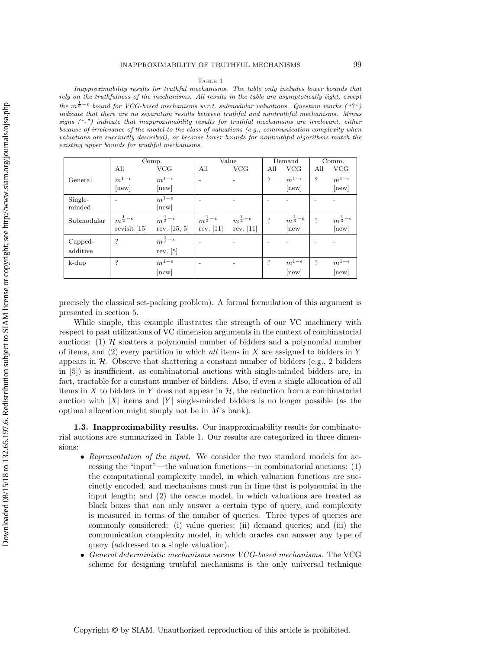#### Table 1

<span id="page-3-0"></span>Inapproximability results for truthful mechanisms. The table only includes lower bounds that rely on the truthfulness of the mechanisms. All results in the table are asymptotically tight, except the  $m^{\frac{1}{3}-\epsilon}$  bound for VCG-based mechanisms w.r.t. submodular valuations. Question marks ("?") indicate that there are no separation results between truthful and nontruthful mechanisms. Minus signs ("-") indicate that inapproximability results for truthful mechanisms are irrelevant, either because of irrelevance of the model to the class of valuations (e.g., communication complexity when valuations are succinctly described), or because lower bounds for nontruthful algorithms match the existing upper bounds for truthful mechanisms.

|            | Comp.                      |                            | Value                      |                            | Demand                   |                            | Comm.                    |                            |
|------------|----------------------------|----------------------------|----------------------------|----------------------------|--------------------------|----------------------------|--------------------------|----------------------------|
|            | All                        | <b>VCG</b>                 | All                        | <b>VCG</b>                 | All                      | <b>VCG</b>                 | All                      | <b>VCG</b>                 |
| General    | $m^{1-\epsilon}$           | $m^{1-\epsilon}$           | $\overline{\phantom{0}}$   |                            | $\overline{\cdot}$       | $m^{1-\epsilon}$           | $\overline{\mathcal{L}}$ | $m^{1-\epsilon}$           |
|            | [new]                      | [new]                      |                            |                            |                          | [new]                      |                          | new                        |
| Single-    |                            | $m^{1-\epsilon}$           |                            |                            |                          |                            |                          |                            |
| minded     |                            | [new]                      |                            |                            |                          |                            |                          |                            |
| Submodular | $m^{\frac{1}{2}-\epsilon}$ | $m^{\frac{1}{2}-\epsilon}$ | $m^{\frac{1}{2}-\epsilon}$ | $m^{\frac{1}{2}-\epsilon}$ | $\overline{\mathcal{L}}$ | $m^{\frac{1}{3}-\epsilon}$ | $\overline{?}$           | $m^{\frac{1}{3}-\epsilon}$ |
|            | revisit $[15]$             | rev. $[15, 5]$             | rev. $[11]$                | rev. $[11]$                |                          | [new]                      |                          | new                        |
| Capped-    | ?                          | $m^{\frac{1}{2}-\epsilon}$ |                            |                            |                          |                            |                          |                            |
| additive   |                            | rev. $[5]$                 |                            |                            |                          |                            |                          |                            |
| $k$ -dup   | ?                          | $m^{1-\epsilon}$           | $\overline{\phantom{a}}$   |                            | ?                        | $m^{1-\epsilon}$           | $\cdot$ ?                | $m^{1-\epsilon}$           |
|            |                            | [new]                      |                            |                            |                          | new                        |                          | new                        |

precisely the classical set-packing problem). A formal formulation of this argument is presented in section [5.](#page-10-0)

While simple, this example illustrates the strength of our VC machinery with respect to past utilizations of VC dimension arguments in the context of combinatorial auctions: (1)  $H$  shatters a polynomial number of bidders and a polynomial number of items, and  $(2)$  every partition in which all items in X are assigned to bidders in Y appears in  $H$ . Observe that shattering a constant number of bidders (e.g., 2 bidders in [\[5\]](#page-23-4)) is insufficient, as combinatorial auctions with single-minded bidders are, in fact, tractable for a constant number of bidders. Also, if even a single allocation of all items in X to bidders in Y does not appear in  $\mathcal{H}$ , the reduction from a combinatorial auction with  $|X|$  items and  $|Y|$  single-minded bidders is no longer possible (as the optimal allocation might simply not be in  $M$ 's bank).

1.3. Inapproximability results. Our inapproximability results for combinatorial auctions are summarized in Table [1.](#page-3-0) Our results are categorized in three dimensions:

- Representation of the input. We consider the two standard models for accessing the "input"—the valuation functions—in combinatorial auctions: (1) the computational complexity model, in which valuation functions are succinctly encoded, and mechanisms must run in time that is polynomial in the input length; and (2) the oracle model, in which valuations are treated as black boxes that can only answer a certain type of query, and complexity is measured in terms of the number of queries. Three types of queries are commonly considered: (i) value queries; (ii) demand queries; and (iii) the communication complexity model, in which oracles can answer any type of query (addressed to a single valuation).
- General deterministic mechanisms versus VCG-based mechanisms. The VCG scheme for designing truthful mechanisms is the only universal technique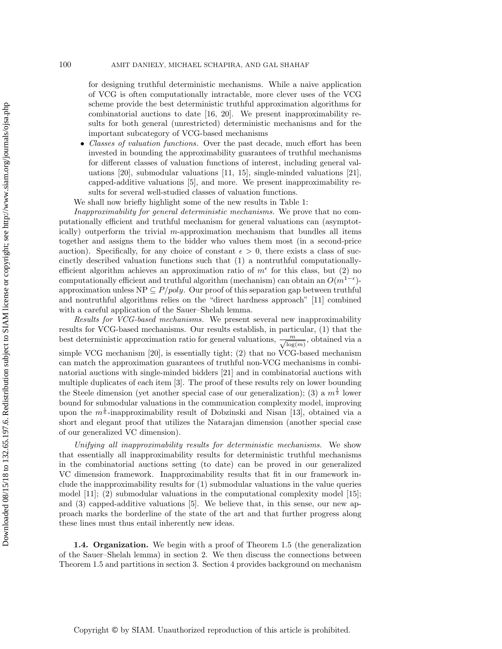for designing truthful deterministic mechanisms. While a naive application of VCG is often computationally intractable, more clever uses of the VCG scheme provide the best deterministic truthful approximation algorithms for combinatorial auctions to date [\[16,](#page-23-9) [20\]](#page-24-10). We present inapproximability results for both general (unrestricted) deterministic mechanisms and for the important subcategory of VCG-based mechanisms

• Classes of valuation functions. Over the past decade, much effort has been invested in bounding the approximability guarantees of truthful mechanisms for different classes of valuation functions of interest, including general valuations [\[20\]](#page-24-10), submodular valuations [\[11,](#page-23-0) [15\]](#page-23-1), single-minded valuations [\[21\]](#page-24-11), capped-additive valuations [\[5\]](#page-23-4), and more. We present inapproximability results for several well-studied classes of valuation functions.

We shall now briefly highlight some of the new results in Table [1:](#page-3-0)

Inapproximability for general deterministic mechanisms. We prove that no computationally efficient and truthful mechanism for general valuations can (asymptotically) outperform the trivial m-approximation mechanism that bundles all items together and assigns them to the bidder who values them most (in a second-price auction). Specifically, for any choice of constant  $\epsilon > 0$ , there exists a class of succinctly described valuation functions such that (1) a nontruthful computationallyefficient algorithm achieves an approximation ratio of  $m^{\epsilon}$  for this class, but (2) no computationally efficient and truthful algorithm (mechanism) can obtain an  $O(m^{1-\epsilon})$ approximation unless  $NP \subseteq P/poly$ . Our proof of this separation gap between truthful and nontruthful algorithms relies on the "direct hardness approach" [\[11\]](#page-23-0) combined with a careful application of the Sauer–Shelah lemma.

Results for VCG-based mechanisms. We present several new inapproximability results for VCG-based mechanisms. Our results establish, in particular, (1) that the best deterministic approximation ratio for general valuations,  $\frac{m}{\log(m)}$ , obtained via a simple VCG mechanism [\[20\]](#page-24-10), is essentially tight; (2) that no VCG-based mechanism can match the approximation guarantees of truthful non-VCG mechanisms in combinatorial auctions with single-minded bidders [\[21\]](#page-24-11) and in combinatorial auctions with multiple duplicates of each item [\[3\]](#page-23-10). The proof of these results rely on lower bounding the Steele dimension (yet another special case of our generalization); (3) a  $m^{\frac{1}{3}}$  lower bound for submodular valuations in the communication complexity model, improving upon the  $m^{\frac{1}{6}}$ -inapproximability result of Dobzinski and Nisan [\[13\]](#page-23-11), obtained via a short and elegant proof that utilizes the Natarajan dimension (another special case of our generalized VC dimension).

Unifying all inapproximability results for deterministic mechanisms. We show that essentially all inapproximability results for deterministic truthful mechanisms in the combinatorial auctions setting (to date) can be proved in our generalized VC dimension framework. Inapproximability results that fit in our framework include the inapproximability results for (1) submodular valuations in the value queries model [\[11\]](#page-23-0); (2) submodular valuations in the computational complexity model [\[15\]](#page-23-1); and (3) capped-additive valuations [\[5\]](#page-23-4). We believe that, in this sense, our new approach marks the borderline of the state of the art and that further progress along these lines must thus entail inherently new ideas.

1.4. Organization. We begin with a proof of Theorem [1.5](#page-2-0) (the generalization of the Sauer–Shelah lemma) in section [2.](#page-5-0) We then discuss the connections between Theorem [1.5](#page-2-0) and partitions in section [3.](#page-6-0) Section [4](#page-9-0) provides background on mechanism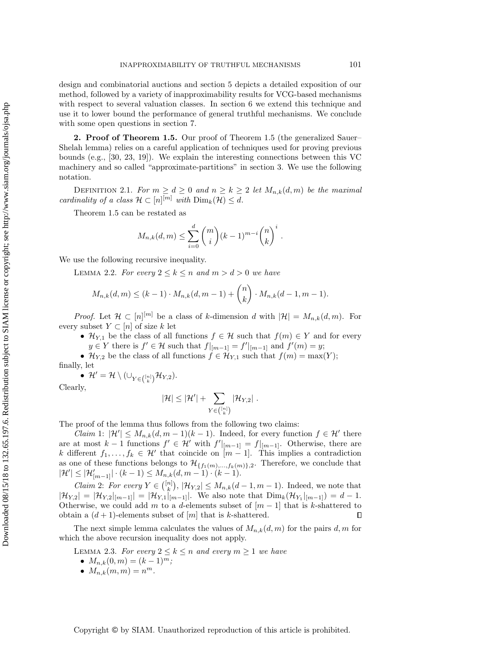design and combinatorial auctions and section [5](#page-10-0) depicts a detailed exposition of our method, followed by a variety of inapproximability results for VCG-based mechanisms with respect to several valuation classes. In section [6](#page-18-0) we extend this technique and use it to lower bound the performance of general truthful mechanisms. We conclude with some open questions in section [7.](#page-21-0)

<span id="page-5-0"></span>2. Proof of Theorem [1.5.](#page-2-0) Our proof of Theorem [1.5](#page-2-0) (the generalized Sauer– Shelah lemma) relies on a careful application of techniques used for proving previous bounds (e.g., [\[30,](#page-24-7) [23,](#page-24-6) [19\]](#page-24-8)). We explain the interesting connections between this VC machinery and so called "approximate-partitions" in section [3.](#page-6-0) We use the following notation.

DEFINITION 2.1. For  $m \geq d \geq 0$  and  $n \geq k \geq 2$  let  $M_{n,k}(d,m)$  be the maximal cardinality of a class  $\mathcal{H} \subset [n]^{[m]}$  with  $\text{Dim}_k(\mathcal{H}) \leq d$ .

Theorem [1.5](#page-2-0) can be restated as

$$
M_{n,k}(d,m) \leq \sum_{i=0}^{d} {m \choose i} (k-1)^{m-i} {n \choose k}^i.
$$

<span id="page-5-1"></span>We use the following recursive inequality.

LEMMA 2.2. For every  $2 \leq k \leq n$  and  $m > d > 0$  we have

$$
M_{n,k}(d,m) \le (k-1) \cdot M_{n,k}(d,m-1) + {n \choose k} \cdot M_{n,k}(d-1,m-1).
$$

*Proof.* Let  $\mathcal{H} \subset [n]^{[m]}$  be a class of k-dimension d with  $|\mathcal{H}| = M_{n,k}(d,m)$ . For every subset  $Y \subset [n]$  of size k let

- $\mathcal{H}_{Y,1}$  be the class of all functions  $f \in \mathcal{H}$  such that  $f(m) \in Y$  and for every  $y \in Y$  there is  $f' \in \mathcal{H}$  such that  $f|_{[m-1]} = f'|_{[m-1]}$  and  $f'(m) = y$ ;
- $\mathcal{H}_{Y,2}$  be the class of all functions  $f \in \mathcal{H}_{Y,1}$  such that  $f(m) = \max(Y);$

finally, let

•  $\mathcal{H}' = \mathcal{H} \setminus (\cup_{Y \in \binom{[n]}{k}} \mathcal{H}_{Y,2}).$ 

Clearly,

$$
|\mathcal{H}| \leq |\mathcal{H}'| + \sum_{Y \in {[n] \choose k}} |\mathcal{H}_{Y,2}| \; .
$$

The proof of the lemma thus follows from the following two claims:

*Claim* 1:  $|\mathcal{H}'| \leq M_{n,k}(d, m-1)(k-1)$ . Indeed, for every function  $f \in \mathcal{H}'$  there are at most  $k-1$  functions  $f' \in \mathcal{H}'$  with  $f'|_{[m-1]} = f|_{[m-1]}$ . Otherwise, there are k different  $f_1, \ldots, f_k \in \mathcal{H}'$  that coincide on  $\overline{m-1}$ . This implies a contradiction as one of these functions belongs to  $\mathcal{H}_{\{f_1(m),...,f_k(m)\},2}$ . Therefore, we conclude that  $|\mathcal{H}'| \leq |\mathcal{H}'_{[m-1]}| \cdot (k-1) \leq M_{n,k}(d,m-1) \cdot (k-1).$ 

*Claim 2: For every*  $Y \in \binom{[n]}{k}$ ,  $|\mathcal{H}_{Y,2}| \leq M_{n,k}(d-1,m-1)$ . Indeed, we note that  $|\mathcal{H}_{Y,2}| = |\mathcal{H}_{Y,2}|_{[m-1]} = |\mathcal{H}_{Y,1}|_{[m-1]}$ . We also note that  $\text{Dim}_k(\mathcal{H}_{Y_1}|_{[m-1]}) = d - 1$ . Otherwise, we could add m to a d-elements subset of  $[m-1]$  that is k-shattered to obtain a  $(d+1)$ -elements subset of  $[m]$  that is k-shattered.  $\Box$ 

The next simple lemma calculates the values of  $M_{n,k}(d, m)$  for the pairs d, m for which the above recursion inequality does not apply.

LEMMA 2.3. For every  $2 \leq k \leq n$  and every  $m \geq 1$  we have

- $M_{n,k}(0,m) = (k-1)^m;$
- $M_{n,k}(m,m) = n^m$ .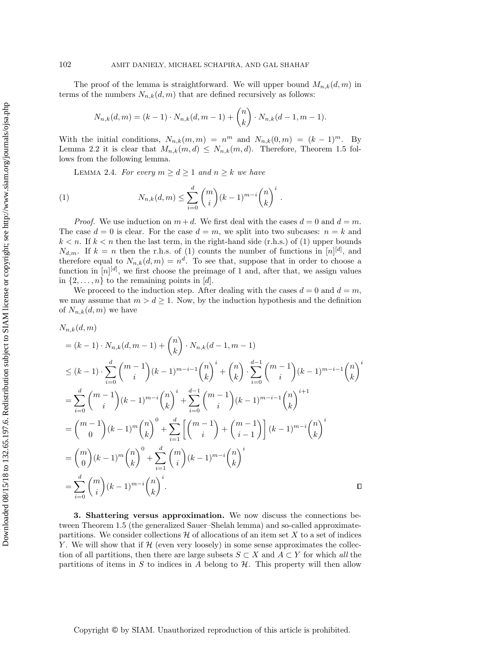The proof of the lemma is straightforward. We will upper bound  $M_{n,k}(d, m)$  in terms of the numbers  $N_{n,k}(d, m)$  that are defined recursively as follows:

$$
N_{n,k}(d,m) = (k-1) \cdot N_{n,k}(d,m-1) + {n \choose k} \cdot N_{n,k}(d-1,m-1).
$$

With the initial conditions,  $N_{n,k}(m,m) = n^m$  and  $N_{n,k}(0,m) = (k-1)^m$ . By Lemma [2.2](#page-5-1) it is clear that  $M_{n,k}(m,d) \leq N_{n,k}(m,d)$ . Therefore, Theorem [1.5](#page-2-0) follows from the following lemma.

<span id="page-6-1"></span>LEMMA 2.4. For every  $m \geq d \geq 1$  and  $n \geq k$  we have

(1) 
$$
N_{n,k}(d,m) \leq \sum_{i=0}^d \binom{m}{i} (k-1)^{m-i} \binom{n}{k}^i.
$$

*Proof.* We use induction on  $m + d$ . We first deal with the cases  $d = 0$  and  $d = m$ . The case  $d = 0$  is clear. For the case  $d = m$ , we split into two subcases:  $n = k$  and  $k < n$ . If  $k < n$  then the last term, in the right-hand side (r.h.s.) of [\(1\)](#page-6-1) upper bounds  $N_{d,m}$ . If  $k = n$  then the r.h.s. of [\(1\)](#page-6-1) counts the number of functions in [n][d], and therefore equal to  $N_{n,k}(d,m) = n^d$ . To see that, suppose that in order to choose a function in  $[n]^{[d]}$ , we first choose the preimage of 1 and, after that, we assign values in  $\{2,\ldots,n\}$  to the remaining points in [d].

We proceed to the induction step. After dealing with the cases  $d = 0$  and  $d = m$ , we may assume that  $m > d \ge 1$ . Now, by the induction hypothesis and the definition of  $N_{n,k}(d,m)$  we have

$$
N_{n,k}(d,m)
$$
  
=  $(k-1) \cdot N_{n,k}(d, m-1) + {n \choose k} \cdot N_{n,k}(d-1, m-1)$   

$$
\leq (k-1) \cdot \sum_{i=0}^{d} {m-1 \choose i} (k-1)^{m-i-1} {n \choose k}^{i} + {n \choose k} \cdot \sum_{i=0}^{d-1} {m-1 \choose i} (k-1)^{m-i-1} {n \choose k}^{i}
$$
  
= 
$$
\sum_{i=0}^{d} {m-1 \choose i} (k-1)^{m-i} {n \choose k}^{i} + \sum_{i=0}^{d-1} {m-1 \choose i} (k-1)^{m-i-1} {n \choose k}^{i+1}
$$
  
= 
$$
{m-1 \choose 0} (k-1)^{m} {n \choose k}^{0} + \sum_{i=1}^{d} \left[ {m-1 \choose i} + {m-1 \choose i-1} \right] (k-1)^{m-i} {n \choose k}^{i}
$$
  
= 
$$
{m \choose 0} (k-1)^{m} {n \choose k}^{0} + \sum_{i=1}^{d} {m \choose i} (k-1)^{m-i} {n \choose k}^{i}
$$
  
= 
$$
\sum_{i=0}^{d} {m \choose i} (k-1)^{m-i} {n \choose k}^{i}.
$$

<span id="page-6-0"></span>3. Shattering versus approximation. We now discuss the connections between Theorem [1.5](#page-2-0) (the generalized Sauer–Shelah lemma) and so-called approximatepartitions. We consider collections  $\mathcal H$  of allocations of an item set X to a set of indices Y. We will show that if  $H$  (even very loosely) in some sense approximates the collection of all partitions, then there are large subsets  $S \subset X$  and  $A \subset Y$  for which all the partitions of items in S to indices in A belong to  $H$ . This property will then allow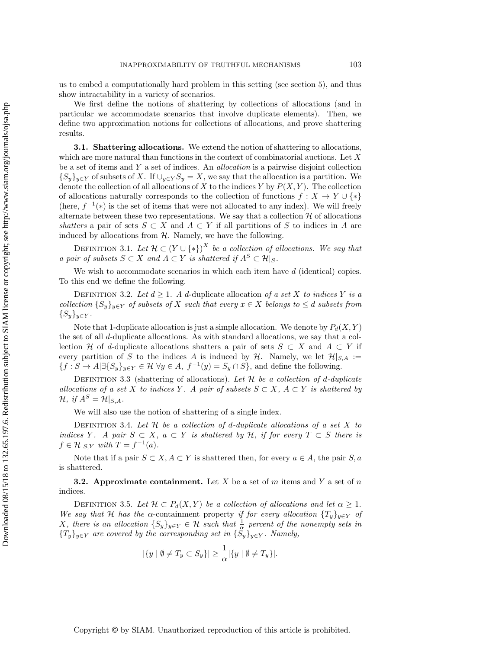us to embed a computationally hard problem in this setting (see section [5\)](#page-10-0), and thus show intractability in a variety of scenarios.

We first define the notions of shattering by collections of allocations (and in particular we accommodate scenarios that involve duplicate elements). Then, we define two approximation notions for collections of allocations, and prove shattering results.

3.1. Shattering allocations. We extend the notion of shattering to allocations, which are more natural than functions in the context of combinatorial auctions. Let X be a set of items and Y a set of indices. An allocation is a pairwise disjoint collection  ${S_y}_{y\in Y}$  of subsets of X. If  $\bigcup_{y\in Y} S_y = X$ , we say that the allocation is a partition. We denote the collection of all allocations of X to the indices Y by  $P(X, Y)$ . The collection of allocations naturally corresponds to the collection of functions  $f: X \to Y \cup \{*\}$ (here,  $f^{-1}(*)$  is the set of items that were not allocated to any index). We will freely alternate between these two representations. We say that a collection  $H$  of allocations shatters a pair of sets  $S \subset X$  and  $A \subset Y$  if all partitions of S to indices in A are induced by allocations from  $H$ . Namely, we have the following.

DEFINITION 3.1. Let  $\mathcal{H} \subset (Y \cup \{*\})^X$  be a collection of allocations. We say that a pair of subsets  $S \subset X$  and  $A \subset Y$  is shattered if  $A^S \subset \mathcal{H}|_S$ .

We wish to accommodate scenarios in which each item have  $d$  (identical) copies. To this end we define the following.

DEFINITION 3.2. Let  $d \geq 1$ . A d-duplicate allocation of a set X to indices Y is a collection  $\{S_y\}_{y\in Y}$  of subsets of X such that every  $x \in X$  belongs to  $\leq d$  subsets from  ${S_y}_{y \in Y}$ .

Note that 1-duplicate allocation is just a simple allocation. We denote by  $P_d(X, Y)$ the set of all d-duplicate allocations. As with standard allocations, we say that a collection H of d-duplicate allocations shatters a pair of sets  $S \subset X$  and  $A \subset Y$  if every partition of S to the indices A is induced by H. Namely, we let  $\mathcal{H}|_{S,A} :=$  ${f : S \to A \mid \exists \{S_y\}_{y \in Y} \in \mathcal{H} \,\forall y \in A,\, f^{-1}(y) = S_y \cap S},$  and define the following.

DEFINITION 3.3 (shattering of allocations). Let  $\mathcal H$  be a collection of d-duplicate allocations of a set X to indices Y. A pair of subsets  $S \subset X$ ,  $A \subset Y$  is shattered by  $\mathcal{H}, \text{ if } A^S = \mathcal{H}|_{S, A}.$ 

We will also use the notion of shattering of a single index.

DEFINITION 3.4. Let  $H$  be a collection of d-duplicate allocations of a set  $X$  to indices Y. A pair  $S \subset X$ ,  $a \subset Y$  is shattered by H, if for every  $T \subset S$  there is  $f \in \mathcal{H}|_{S,Y}$  with  $T = f^{-1}(a)$ .

Note that if a pair  $S \subset X, A \subset Y$  is shattered then, for every  $a \in A$ , the pair  $S, a$ is shattered.

**3.2.** Approximate containment. Let X be a set of m items and Y a set of n indices.

DEFINITION 3.5. Let  $\mathcal{H} \subset P_d(X, Y)$  be a collection of allocations and let  $\alpha \geq 1$ . We say that H has the  $\alpha$ -containment property if for every allocation  $\{T_v\}_{v \in Y}$  of X, there is an allocation  $\{S_y\}_{y \in Y} \in \mathcal{H}$  such that  $\frac{1}{\alpha}$  percent of the nonempty sets in  ${T_y}_{y \in Y}$  are covered by the corresponding set in  ${S_y}_{y \in Y}$ . Namely,

$$
|\{y \mid \emptyset \neq T_y \subset S_y\}| \geq \frac{1}{\alpha} |\{y \mid \emptyset \neq T_y\}|.
$$

Copyright © by SIAM. Unauthorized reproduction of this article is prohibited.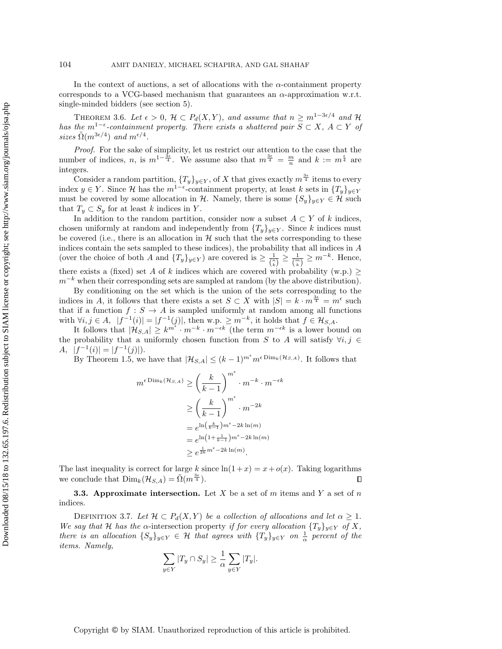In the context of auctions, a set of allocations with the  $\alpha$ -containment property corresponds to a VCG-based mechanism that guarantees an  $\alpha$ -approximation w.r.t. single-minded bidders (see section [5\)](#page-10-0).

<span id="page-8-0"></span>THEOREM 3.6. Let  $\epsilon > 0$ ,  $\mathcal{H} \subset P_d(X, Y)$ , and assume that  $n \geq m^{1-3\epsilon/4}$  and  $\mathcal{H}$ has the m<sup>1- $\epsilon$ </sup>-containment property. There exists a shattered pair  $S \subset X$ ,  $A \subset Y$  of sizes  $\tilde{\Omega}(m^{3\epsilon/4})$  and  $m^{\epsilon/4}$ .

Proof. For the sake of simplicity, let us restrict our attention to the case that the number of indices, n, is  $m^{1-\frac{3\epsilon}{4}}$ . We assume also that  $m^{\frac{3\epsilon}{4}} = \frac{m}{n}$  and  $k := m^{\frac{\epsilon}{4}}$  are integers.

Consider a random partition,  $\{T_y\}_{y\in Y}$ , of X that gives exactly  $m^{\frac{3\epsilon}{4}}$  items to every index  $y \in Y$ . Since H has the  $m^{1-\epsilon}$ -containment property, at least k sets in  $\{T_y\}_{y \in Y}$ must be covered by some allocation in H. Namely, there is some  $\{S_y\}_{y\in Y}\in \mathcal{H}$  such that  $T_y \subset S_y$  for at least k indices in Y.

In addition to the random partition, consider now a subset  $A \subset Y$  of k indices, chosen uniformly at random and independently from  $\{T_y\}_{y\in Y}$ . Since k indices must be covered (i.e., there is an allocation in  $H$  such that the sets corresponding to these indices contain the sets sampled to these indices), the probability that all indices in A (over the choice of both A and  $\{T_y\}_{y \in Y}$ ) are covered is  $\geq \frac{1}{\binom{n}{k}} \geq \frac{1}{\binom{m}{k}} \geq m^{-k}$ . Hence, there exists a (fixed) set A of k indices which are covered with probability (w.p.)  $\geq$  $m^{-k}$  when their corresponding sets are sampled at random (by the above distribution).

By conditioning on the set which is the union of the sets corresponding to the indices in A, it follows that there exists a set  $S \subset X$  with  $|S| = k \cdot m^{\frac{3\epsilon}{4}} = m^{\epsilon}$  such that if a function  $f : S \to A$  is sampled uniformly at random among all functions with  $\forall i, j \in A$ ,  $|f^{-1}(i)| = |f^{-1}(j)|$ , then w.p.  $\geq m^{-k}$ , it holds that  $f \in \mathcal{H}_{S,A}$ .

It follows that  $|\mathcal{H}_{S,A}| \geq k^{m^{\epsilon}} \cdot m^{-k} \cdot m^{-\epsilon k}$  (the term  $m^{-\epsilon k}$  is a lower bound on the probability that a uniformly chosen function from S to A will satisfy  $\forall i, j \in$  $A, |f^{-1}(i)| = |f^{-1}(j)|.$ 

By Theorem [1.5,](#page-2-0) we have that  $|\mathcal{H}_{S,A}| \leq (k-1)^{m^{\epsilon}} m^{\epsilon \text{Dim}_k(\mathcal{H}_{S,A})}$ . It follows that

$$
m^{\epsilon \text{Dim}_k(\mathcal{H}_{S,A})} \geq \left(\frac{k}{k-1}\right)^{m^{\epsilon}} \cdot m^{-k} \cdot m^{-\epsilon k}
$$

$$
\geq \left(\frac{k}{k-1}\right)^{m^{\epsilon}} \cdot m^{-2k}
$$

$$
= e^{\ln\left(\frac{k}{k-1}\right)m^{\epsilon} - 2k \ln(m)}
$$

$$
= e^{\ln\left(1 + \frac{1}{k-1}\right)m^{\epsilon} - 2k \ln(m)}
$$

$$
\geq e^{\frac{1}{2k}m^{\epsilon} - 2k \ln(m)}.
$$

The last inequality is correct for large k since  $ln(1+x) = x + o(x)$ . Taking logarithms we conclude that  $\text{Dim}_k(\mathcal{H}_{S,A}) = \tilde{\Omega}(m^{\frac{3\epsilon}{4}}).$ П

**3.3.** Approximate intersection. Let X be a set of m items and Y a set of n indices.

DEFINITION 3.7. Let  $\mathcal{H} \subset P_d(X, Y)$  be a collection of allocations and let  $\alpha \geq 1$ . We say that H has the  $\alpha$ -intersection property if for every allocation  $\{T_y\}_{y\in Y}$  of X, there is an allocation  $\{S_y\}_{y\in Y} \in \mathcal{H}$  that agrees with  $\{T_y\}_{y\in Y}$  on  $\frac{1}{\alpha}$  percent of the items. Namely,

$$
\sum_{y \in Y} |T_y \cap S_y| \ge \frac{1}{\alpha} \sum_{y \in Y} |T_y|.
$$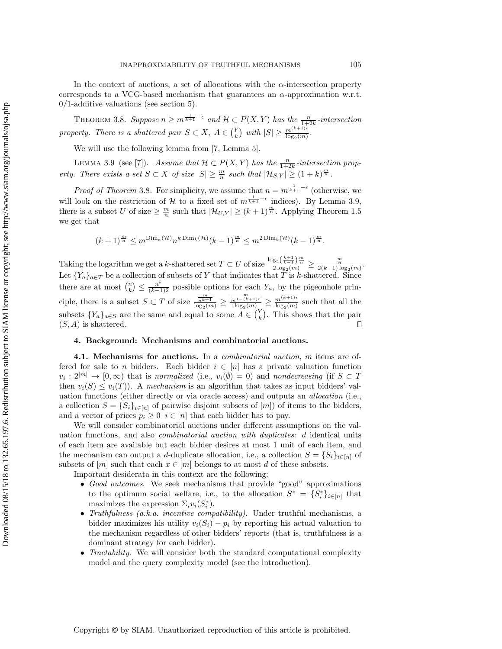In the context of auctions, a set of allocations with the  $\alpha$ -intersection property corresponds to a VCG-based mechanism that guarantees an  $\alpha$ -approximation w.r.t.  $0/1$ -additive valuations (see section [5\)](#page-10-0).

<span id="page-9-1"></span>THEOREM 3.8. Suppose  $n \geq m^{\frac{1}{k+1}-\epsilon}$  and  $\mathcal{H} \subset P(X,Y)$  has the  $\frac{n}{1+2k}$ -intersection property. There is a shattered pair  $S \subset X$ ,  $A \in {Y \choose k}$  with  $|S| \geq \frac{m^{(k+1)\epsilon}}{\log_2(m)}$ .

We will use the following lemma from [\[7,](#page-23-3) Lemma 5].

<span id="page-9-2"></span>LEMMA 3.9 (see [\[7\]](#page-23-3)). Assume that  $\mathcal{H} \subset P(X, Y)$  has the  $\frac{n}{1+2k}$ -intersection property. There exists a set  $S \subset X$  of size  $|S| \geq \frac{m}{n}$  such that  $|\mathcal{H}_{S,Y}| \geq (1+k)^{\frac{m}{n}}$ .

*Proof of Theorem* [3.8](#page-9-1). For simplicity, we assume that  $n = m^{\frac{1}{k+1} - \epsilon}$  (otherwise, we will look on the restriction of H to a fixed set of  $m^{\frac{1}{k+1}-\epsilon}$  indices). By Lemma [3.9,](#page-9-2) there is a subset U of size  $\geq \frac{m}{n}$  such that  $|\mathcal{H}_{U,Y}| \geq (k+1)^{\frac{m}{n}}$ . Applying Theorem [1.5](#page-2-0) we get that

$$
(k+1)^{\frac{m}{n}}\leq m^{\text{Dim}_k(\mathcal{H})}n^{k\,\text{Dim}_k(\mathcal{H})}(k-1)^{\frac{m}{n}}\leq m^{2\,\text{Dim}_k(\mathcal{H})}(k-1)^{\frac{m}{n}}.
$$

Taking the logarithm we get a k-shattered set  $T \subset U$  of size  $\frac{\log_2(\frac{k+1}{k-1})\frac{m}{m}}{2\log_2(m)} \ge \frac{\frac{m}{2}}{2(k-1)\log_2(m)}$ . Let  ${Y_a}_{a \in T}$  be a collection of subsets of Y that indicates that T is k-shattered. Since there are at most  $\binom{n}{k} \leq \frac{n^k}{(k-1)!}$  possible options for each  $Y_a$ , by the pigeonhole principle, there is a subset  $S \subset T$  of size  $\frac{\frac{m}{n^{k+1}}}{\log_2(m)} \ge \frac{\frac{m}{n^{1-(k+1)\epsilon}}}{\log_2(m)} \ge \frac{m^{(k+1)\epsilon}}{\log_2(m)}$  $\frac{m^{(n+1)/2}}{\log_2(m)}$  such that all the subsets  ${Y_a}_{a \in S}$  are the same and equal to some  $A \in {Y \choose k}$ . This shows that the pair  $(S, A)$  is shattered.  $\Box$ 

## <span id="page-9-0"></span>4. Background: Mechanisms and combinatorial auctions.

4.1. Mechanisms for auctions. In a *combinatorial auction*, m items are offered for sale to n bidders. Each bidder  $i \in [n]$  has a private valuation function  $v_i: 2^{[m]} \to [0, \infty)$  that is normalized (i.e.,  $v_i(\emptyset) = 0$ ) and nondecreasing (if  $S \subset T$ then  $v_i(S) \leq v_i(T)$ ). A mechanism is an algorithm that takes as input bidders' valuation functions (either directly or via oracle access) and outputs an allocation (i.e., a collection  $S = \{S_i\}_{i \in [n]}$  of pairwise disjoint subsets of  $[m]$  of items to the bidders, and a vector of prices  $p_i \geq 0$   $i \in [n]$  that each bidder has to pay.

We will consider combinatorial auctions under different assumptions on the valuation functions, and also combinatorial auction with duplicates: d identical units of each item are available but each bidder desires at most 1 unit of each item, and the mechanism can output a d-duplicate allocation, i.e., a collection  $S = \{S_i\}_{i \in [n]}$  of subsets of  $[m]$  such that each  $x \in [m]$  belongs to at most d of these subsets.

Important desiderata in this context are the following:

- Good outcomes. We seek mechanisms that provide "good" approximations to the optimum social welfare, i.e., to the allocation  $S^* = \{S_i^*\}_{i \in [n]}$  that maximizes the expression  $\Sigma_i v_i(S_i^*)$ .
- Truthfulness (a.k.a. incentive compatibility). Under truthful mechanisms, a bidder maximizes his utility  $v_i(S_i) - p_i$  by reporting his actual valuation to the mechanism regardless of other bidders' reports (that is, truthfulness is a dominant strategy for each bidder).
- Tractability. We will consider both the standard computational complexity model and the query complexity model (see the introduction).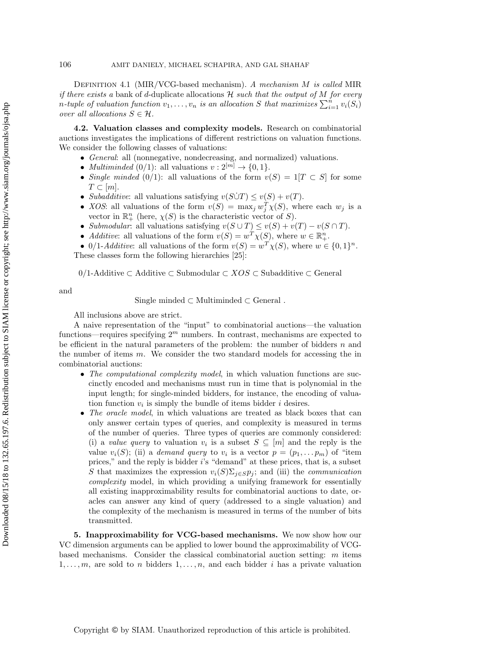Definition 4.1 (MIR/VCG-based mechanism). A mechanism M is called MIR if there exists a bank of d-duplicate allocations  $H$  such that the output of M for every n-tuple of valuation function  $v_1, \ldots, v_n$  is an allocation S that maximizes  $\sum_{i=1}^n v_i(S_i)$ over all allocations  $S \in \mathcal{H}$ .

4.2. Valuation classes and complexity models. Research on combinatorial auctions investigates the implications of different restrictions on valuation functions. We consider the following classes of valuations:

- General: all (nonnegative, nondecreasing, and normalized) valuations.
- *Multiminded* (0/1): all valuations  $v: 2^{[m]} \rightarrow \{0, 1\}.$
- Single minded (0/1): all valuations of the form  $v(S) = 1|T \subset S$  for some  $T \subset [m]$ .
- Subadditive: all valuations satisfying  $v(S\dot{\cup} T) \leq v(S) + v(T)$ .
- *XOS*: all valuations of the form  $v(S) = \max_j w_j^T \chi(S)$ , where each  $w_j$  is a vector in  $\mathbb{R}^n_+$  (here,  $\chi(S)$  is the characteristic vector of S).
- Submodular: all valuations satisfying  $v(S \cup T) \le v(S) + v(T) v(S \cap T)$ .
- Additive: all valuations of the form  $v(S) = w^T \chi(S)$ , where  $w \in \mathbb{R}^n_+$ .

• 0/1-Additive: all valuations of the form  $v(S) = w^T \chi(S)$ , where  $w \in \{0,1\}^n$ . These classes form the following hierarchies [\[25\]](#page-24-12):

 $0/1$ -Additive ⊂ Additive ⊂ Submodular ⊂  $XOS \subset S$ ubadditive ⊂ General

and

Single minded  $\subset$  Multiminded  $\subset$  General.

All inclusions above are strict.

A naive representation of the "input" to combinatorial auctions—the valuation functions—requires specifying  $2<sup>m</sup>$  numbers. In contrast, mechanisms are expected to be efficient in the natural parameters of the problem: the number of bidders  $n$  and the number of items  $m$ . We consider the two standard models for accessing the in combinatorial auctions:

- The computational complexity model, in which valuation functions are succinctly encoded and mechanisms must run in time that is polynomial in the input length; for single-minded bidders, for instance, the encoding of valuation function  $v_i$  is simply the bundle of items bidder i desires.
- The oracle model, in which valuations are treated as black boxes that can only answer certain types of queries, and complexity is measured in terms of the number of queries. Three types of queries are commonly considered: (i) a value query to valuation  $v_i$  is a subset  $S \subseteq [m]$  and the reply is the value  $v_i(S)$ ; (ii) a *demand query* to  $v_i$  is a vector  $p = (p_1, \ldots, p_m)$  of "item prices," and the reply is bidder i's "demand" at these prices, that is, a subset S that maximizes the expression  $v_i(S)\Sigma_{j\in S}p_j$ ; and (iii) the *communication* complexity model, in which providing a unifying framework for essentially all existing inapproximability results for combinatorial auctions to date, oracles can answer any kind of query (addressed to a single valuation) and the complexity of the mechanism is measured in terms of the number of bits transmitted.

<span id="page-10-0"></span>5. Inapproximability for VCG-based mechanisms. We now show how our VC dimension arguments can be applied to lower bound the approximability of VCGbased mechanisms. Consider the classical combinatorial auction setting: m items  $1, \ldots, m$ , are sold to n bidders  $1, \ldots, n$ , and each bidder i has a private valuation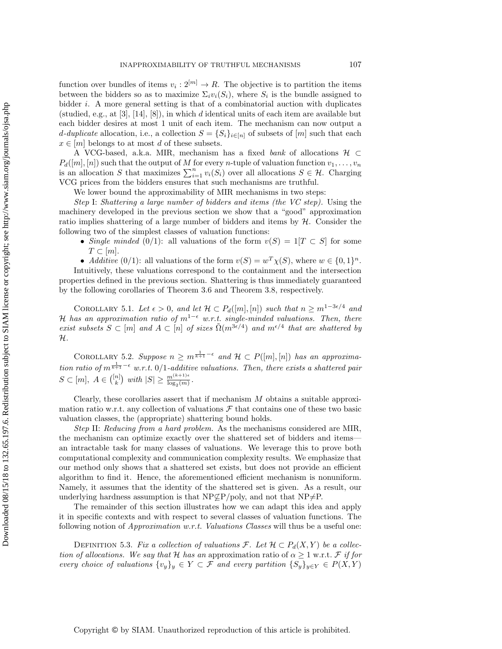Downloaded 08/15/18 to 132.65.197.6. Redistribution subject to SIAM license or copyright; see http://www.siam.org/journals/ojsa.php Downloaded 08/15/18 to 132.65.197.6. Redistribution subject to SIAM license or copyright; see http://www.siam.org/journals/ojsa.php

function over bundles of items  $v_i: 2^{[m]} \to R$ . The objective is to partition the items between the bidders so as to maximize  $\Sigma_i v_i(S_i)$ , where  $S_i$  is the bundle assigned to bidder  $i$ . A more general setting is that of a combinatorial auction with duplicates (studied, e.g., at  $[3]$ ,  $[14]$ ,  $[8]$ ), in which d identical units of each item are available but each bidder desires at most 1 unit of each item. The mechanism can now output a d-duplicate allocation, i.e., a collection  $S = \{S_i\}_{i \in [n]}$  of subsets of  $[m]$  such that each  $x \in [m]$  belongs to at most d of these subsets.

A VCG-based, a.k.a. MIR, mechanism has a fixed bank of allocations  $\mathcal{H} \subset$  $P_d([m], [n])$  such that the output of M for every n-tuple of valuation function  $v_1, \ldots, v_n$ is an allocation S that maximizes  $\sum_{i=1}^{n} v_i(S_i)$  over all allocations  $S \in \mathcal{H}$ . Charging VCG prices from the bidders ensures that such mechanisms are truthful.

We lower bound the approximability of MIR mechanisms in two steps:

Step I: Shattering a large number of bidders and items (the VC step). Using the machinery developed in the previous section we show that a "good" approximation ratio implies shattering of a large number of bidders and items by  $H$ . Consider the following two of the simplest classes of valuation functions:

- Single minded (0/1): all valuations of the form  $v(S) = 1[T \subset S]$  for some  $T \subset [m]$ .
- Additive  $(0/1)$ : all valuations of the form  $v(S) = w^T \chi(S)$ , where  $w \in \{0,1\}^n$ .

Intuitively, these valuations correspond to the containment and the intersection properties defined in the previous section. Shattering is thus immediately guaranteed by the following corollaries of Theorem [3.6](#page-8-0) and Theorem [3.8,](#page-9-1) respectively.

<span id="page-11-0"></span>COROLLARY 5.1. Let  $\epsilon > 0$ , and let  $\mathcal{H} \subset P_d([m], [n])$  such that  $n \geq m^{1-3\epsilon/4}$  and H has an approximation ratio of  $m^{1-\epsilon}$  w.r.t. single-minded valuations. Then, there exist subsets  $S \subset [m]$  and  $A \subset [n]$  of sizes  $\tilde{\Omega}(m^{3\epsilon/4})$  and  $m^{\epsilon/4}$  that are shattered by  $\mathcal{H}.$ 

COROLLARY 5.2. Suppose  $n \geq m^{\frac{1}{k+1}-\epsilon}$  and  $\mathcal{H} \subset P([m],[n])$  has an approximation ratio of  $m^{\frac{1}{k+1}-\epsilon}$  w.r.t. 0/1-additive valuations. Then, there exists a shattered pair  $S \subset [m], A \in \binom{[n]}{k}$  with  $|S| \geq \frac{m^{(k+1)\epsilon}}{\log_2(m)}$ .

Clearly, these corollaries assert that if mechanism M obtains a suitable approximation ratio w.r.t. any collection of valuations  $\mathcal F$  that contains one of these two basic valuation classes, the (appropriate) shattering bound holds.

Step II: Reducing from a hard problem. As the mechanisms considered are MIR, the mechanism can optimize exactly over the shattered set of bidders and items an intractable task for many classes of valuations. We leverage this to prove both computational complexity and communication complexity results. We emphasize that our method only shows that a shattered set exists, but does not provide an efficient algorithm to find it. Hence, the aforementioned efficient mechanism is nonuniform. Namely, it assumes that the identity of the shattered set is given. As a result, our underlying hardness assumption is that  $NP\subset\subset P/poly$ , and not that  $NP\neq P$ .

The remainder of this section illustrates how we can adapt this idea and apply it in specific contexts and with respect to several classes of valuation functions. The following notion of *Approximation w.r.t. Valuations Classes* will thus be a useful one:

DEFINITION 5.3. Fix a collection of valuations F. Let  $\mathcal{H} \subset P_d(X, Y)$  be a collection of allocations. We say that H has an approximation ratio of  $\alpha \geq 1$  w.r.t. F if for every choice of valuations  $\{v_y\}_y \in Y \subset \mathcal{F}$  and every partition  $\{S_y\}_{y \in Y} \in P(X, Y)$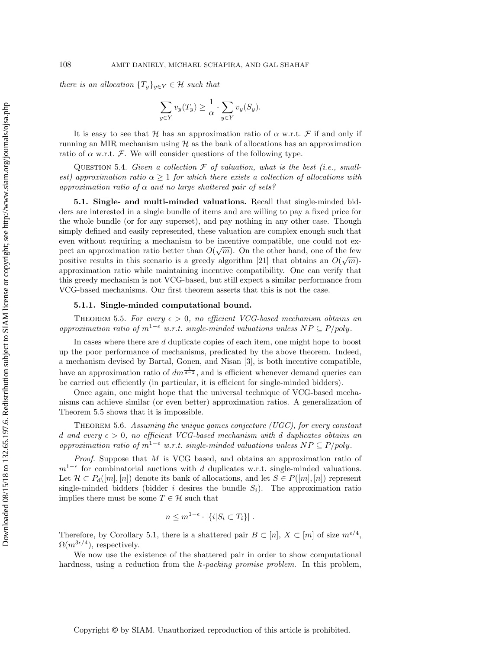there is an allocation  $\{T_y\}_{y \in Y} \in \mathcal{H}$  such that

$$
\sum_{y \in Y} v_y(T_y) \ge \frac{1}{\alpha} \cdot \sum_{y \in Y} v_y(S_y).
$$

It is easy to see that H has an approximation ratio of  $\alpha$  w.r.t. F if and only if running an MIR mechanism using  $H$  as the bank of allocations has an approximation ratio of  $\alpha$  w.r.t. F. We will consider questions of the following type.

<span id="page-12-1"></span>QUESTION 5.4. Given a collection  $\mathcal F$  of valuation, what is the best (i.e., smallest) approximation ratio  $\alpha > 1$  for which there exists a collection of allocations with approximation ratio of  $\alpha$  and no large shattered pair of sets?

5.1. Single- and multi-minded valuations. Recall that single-minded bidders are interested in a single bundle of items and are willing to pay a fixed price for the whole bundle (or for any superset), and pay nothing in any other case. Though simply defined and easily represented, these valuation are complex enough such that even without requiring a mechanism to be incentive compatible, one could not expect an approximation ratio better than  $O(\sqrt{m})$ . On the other hand, one of the few positive results in this scenario is a greedy algorithm [\[21\]](#page-24-11) that obtains an  $O(\sqrt{m})$ approximation ratio while maintaining incentive compatibility. One can verify that this greedy mechanism is not VCG-based, but still expect a similar performance from VCG-based mechanisms. Our first theorem asserts that this is not the case.

## 5.1.1. Single-minded computational bound.

<span id="page-12-0"></span>THEOREM 5.5. For every  $\epsilon > 0$ , no efficient VCG-based mechanism obtains an approximation ratio of  $m^{1-\epsilon}$  w.r.t. single-minded valuations unless  $NP \subseteq P/poly$ .

In cases where there are  $d$  duplicate copies of each item, one might hope to boost up the poor performance of mechanisms, predicated by the above theorem. Indeed, a mechanism devised by Bartal, Gonen, and Nisan [\[3\]](#page-23-10), is both incentive compatible, have an approximation ratio of  $dm^{\frac{1}{d-2}}$ , and is efficient whenever demand queries can be carried out efficiently (in particular, it is efficient for single-minded bidders).

Once again, one might hope that the universal technique of VCG-based mechanisms can achieve similar (or even better) approximation ratios. A generalization of Theorem [5.5](#page-12-0) shows that it is impossible.

Theorem 5.6. Assuming the unique games conjecture (UGC), for every constant d and every  $\epsilon > 0$ , no efficient VCG-based mechanism with d duplicates obtains an approximation ratio of  $m^{1-\epsilon}$  w.r.t. single-minded valuations unless  $NP \subseteq P/poly$ .

Proof. Suppose that M is VCG based, and obtains an approximation ratio of  $m^{1-\epsilon}$  for combinatorial auctions with d duplicates w.r.t. single-minded valuations. Let  $\mathcal{H} \subset P_d([m], [n])$  denote its bank of allocations, and let  $S \in P([m], [n])$  represent single-minded bidders (bidder i desires the bundle  $S_i$ ). The approximation ratio implies there must be some  $T\in\mathcal{H}$  such that

$$
n \le m^{1-\epsilon} \cdot |\{i|S_i \subset T_i\}|.
$$

Therefore, by Corollary [5.1,](#page-11-0) there is a shattered pair  $B \subset [n]$ ,  $X \subset [m]$  of size  $m^{\epsilon/4}$ ,  $\Omega(m^{3\epsilon/4})$ , respectively.

We now use the existence of the shattered pair in order to show computational hardness, using a reduction from the k-packing promise problem. In this problem,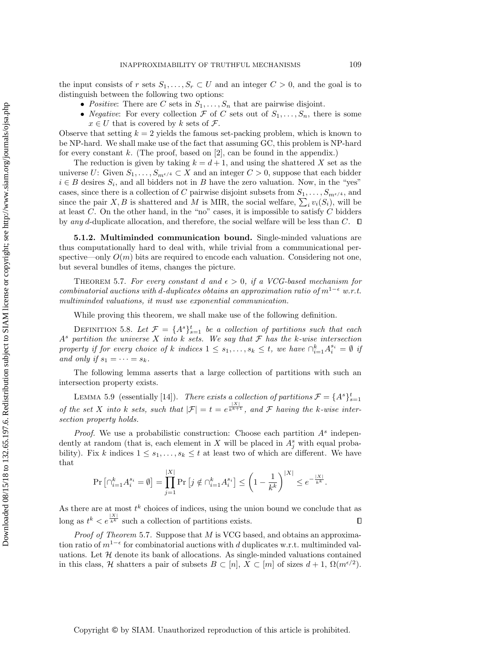the input consists of r sets  $S_1, \ldots, S_r \subset U$  and an integer  $C > 0$ , and the goal is to distinguish between the following two options:

- Positive: There are C sets in  $S_1, \ldots, S_n$  that are pairwise disjoint.
- Negative: For every collection  $\mathcal F$  of  $C$  sets out of  $S_1, \ldots, S_n$ , there is some  $x \in U$  that is covered by k sets of  $\mathcal{F}$ .

Observe that setting  $k = 2$  yields the famous set-packing problem, which is known to be NP-hard. We shall make use of the fact that assuming GC, this problem is NP-hard for every constant  $k$ . (The proof, based on [\[2\]](#page-23-14), can be found in the appendix.)

The reduction is given by taking  $k = d + 1$ , and using the shattered X set as the universe U: Given  $S_1, \ldots, S_{m^{e/4}} \subset X$  and an integer  $C > 0$ , suppose that each bidder  $i \in B$  desires  $S_i$ , and all bidders not in B have the zero valuation. Now, in the "yes" cases, since there is a collection of C pairwise disjoint subsets from  $S_1, \ldots, S_{m^{\epsilon/4}}$ , and since the pair X, B is shattered and M is MIR, the social welfare,  $\sum_i v_i(S_i)$ , will be at least  $C$ . On the other hand, in the "no" cases, it is impossible to satisfy  $C$  bidders by any d-duplicate allocation, and therefore, the social welfare will be less than C.  $\Box$ 

5.1.2. Multiminded communication bound. Single-minded valuations are thus computationally hard to deal with, while trivial from a communicational perspective—only  $O(m)$  bits are required to encode each valuation. Considering not one, but several bundles of items, changes the picture.

<span id="page-13-0"></span>THEOREM 5.7. For every constant d and  $\epsilon > 0$ , if a VCG-based mechanism for combinatorial auctions with d-duplicates obtains an approximation ratio of  $m^{1-\epsilon}$  w.r.t. multiminded valuations, it must use exponential communication.

While proving this theorem, we shall make use of the following definition.

DEFINITION 5.8. Let  $\mathcal{F} = \{A^s\}_{s=1}^t$  be a collection of partitions such that each  $A<sup>s</sup>$  partition the universe X into k sets. We say that  $\mathcal F$  has the k-wise intersection property if for every choice of k indices  $1 \leq s_1, \ldots, s_k \leq t$ , we have  $\bigcap_{i=1}^k A_i^{s_i} = \emptyset$  if and only if  $s_1 = \cdots = s_k$ .

The following lemma asserts that a large collection of partitions with such an intersection property exists.

<span id="page-13-1"></span>LEMMA 5.9 (essentially [\[14\]](#page-23-12)). There exists a collection of partitions  $\mathcal{F} = \{A^s\}_{s=1}^t$ of the set X into k sets, such that  $|\mathcal{F}| = t = e^{\frac{|\mathcal{X}|}{k+1}}$ , and F having the k-wise intersection property holds.

*Proof.* We use a probabilistic construction: Choose each partition  $A<sup>s</sup>$  independently at random (that is, each element in X will be placed in  $A_j^s$  with equal probability). Fix k indices  $1 \leq s_1, \ldots, s_k \leq t$  at least two of which are different. We have that

$$
\Pr\left[\cap_{i=1}^k A_i^{s_i} = \emptyset\right] = \prod_{j=1}^{|X|} \Pr\left[j \notin \cap_{i=1}^k A_i^{s_i}\right] \le \left(1 - \frac{1}{k^k}\right)^{|X|} \le e^{-\frac{|X|}{k^k}}.
$$

As there are at most  $t^k$  choices of indices, using the union bound we conclude that as long as  $t^k < e^{\frac{|X|}{k^k}}$  such a collection of partitions exists.  $\Box$ 

*Proof of Theorem* [5.7](#page-13-0). Suppose that  $M$  is VCG based, and obtains an approximation ratio of  $m^{1-\epsilon}$  for combinatorial auctions with d duplicates w.r.t. multiminded valuations. Let  $H$  denote its bank of allocations. As single-minded valuations contained in this class, H shatters a pair of subsets  $B \subset [n]$ ,  $X \subset [m]$  of sizes  $d+1$ ,  $\Omega(m^{\epsilon/2})$ .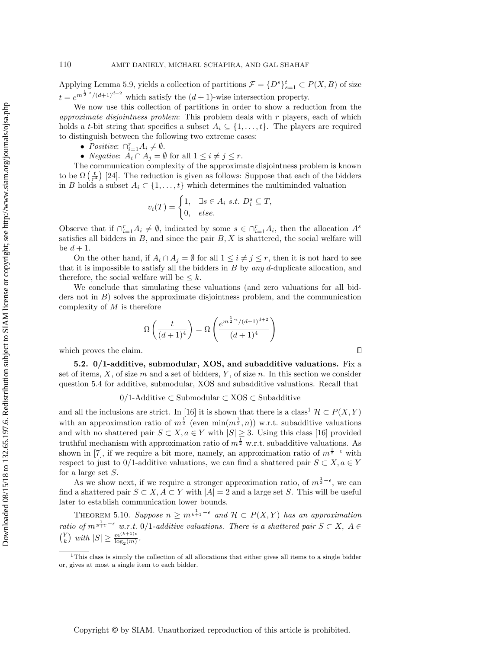Applying Lemma [5.9,](#page-13-1) yields a collection of partitions  $\mathcal{F} = \{D^s\}_{s=1}^t \subset P(X, B)$  of size  $t = e^{m^{\frac{1}{2} \cdot \epsilon} / (d+1)^{d+2}}$  which satisfy the  $(d+1)$ -wise intersection property.

We now use this collection of partitions in order to show a reduction from the approximate disjointness problem: This problem deals with  $r$  players, each of which holds a t-bit string that specifies a subset  $A_i \subseteq \{1, \ldots, t\}$ . The players are required to distinguish between the following two extreme cases:

- Positive:  $\bigcap_{i=1}^r A_i \neq \emptyset$ .
- *Negative:*  $A_i \cap A_j = \emptyset$  for all  $1 \leq i \neq j \leq r$ .

The communication complexity of the approximate disjointness problem is known to be  $\Omega\left(\frac{t}{r^4}\right)$  [\[24\]](#page-24-13). The reduction is given as follows: Suppose that each of the bidders in B holds a subset  $A_i \subset \{1, \ldots, t\}$  which determines the multiminded valuation

$$
v_i(T) = \begin{cases} 1, & \exists s \in A_i \ s.t. \ D_i^s \subseteq T, \\ 0, & else. \end{cases}
$$

Observe that if  $\bigcap_{i=1}^r A_i \neq \emptyset$ , indicated by some  $s \in \bigcap_{i=1}^r A_i$ , then the allocation  $A^s$ satisfies all bidders in  $B$ , and since the pair  $B, X$  is shattered, the social welfare will be  $d+1$ .

On the other hand, if  $A_i \cap A_j = \emptyset$  for all  $1 \leq i \neq j \leq r$ , then it is not hard to see that it is impossible to satisfy all the bidders in  $B$  by any d-duplicate allocation, and therefore, the social welfare will be  $\leq k$ .

We conclude that simulating these valuations (and zero valuations for all bidders not in  $B$ ) solves the approximate disjointness problem, and the communication complexity of  $M$  is therefore

$$
\Omega\left(\frac{t}{(d+1)^4}\right) = \Omega\left(\frac{e^{m^{\frac{1}{2}\cdot\epsilon}/(d+1)^{d+2}}}{(d+1)^4}\right)
$$

which proves the claim.

Downloaded 08/15/18 to 132.65.197.6. Redistribution subject to SIAM license or copyright; see http://www.siam.org/journals/ojsa.php Downloaded 08/15/18 to 132.65.197.6. Redistribution subject to SIAM license or copyright; see http://www.siam.org/journals/ojsa.php

5.2. 0/1-additive, submodular, XOS, and subadditive valuations. Fix a set of items,  $X$ , of size  $m$  and a set of bidders,  $Y$ , of size  $n$ . In this section we consider question [5.4](#page-12-1) for additive, submodular, XOS and subadditive valuations. Recall that

0/1-Additive ⊂ Submodular ⊂ XOS ⊂ Subadditive

and all the inclusions are strict. In [\[16\]](#page-23-9) it is shown that there is a class<sup>[1](#page-14-0)</sup>  $\mathcal{H} \subset P(X, Y)$ with an approximation ratio of  $m^{\frac{1}{2}}$  (even  $\min(m^{\frac{1}{2}}, n)$ ) w.r.t. subadditive valuations and with no shattered pair  $S \subset X, a \in Y$  with  $|S| \geq 3$ . Using this class [\[16\]](#page-23-9) provided truthful mechanism with approximation ratio of  $m^{\frac{1}{2}}$  w.r.t. subadditive valuations. As shown in [\[7\]](#page-23-3), if we require a bit more, namely, an approximation ratio of  $m^{\frac{1}{2}-\epsilon}$  with respect to just to 0/1-additive valuations, we can find a shattered pair  $S \subset X, a \in Y$ for a large set  $S$ .

As we show next, if we require a stronger approximation ratio, of  $m^{\frac{1}{3}-\epsilon}$ , we can find a shattered pair  $S \subset X$ ,  $A \subset Y$  with  $|A| = 2$  and a large set S. This will be useful later to establish communication lower bounds.

<span id="page-14-1"></span>THEOREM 5.10. Suppose  $n \geq m^{\frac{1}{k+1}-\epsilon}$  and  $\mathcal{H} \subset P(X,Y)$  has an approximation ratio of  $m^{\frac{1}{k+1}-\epsilon}$  w.r.t. 0/1-additive valuations. There is a shattered pair  $S \subset X$ ,  $A \in$  $\binom{Y}{k}$  with  $|S| \geq \frac{m^{(k+1)\epsilon}}{\log_2(m)}$ .

 $\Box$ 

<span id="page-14-0"></span><sup>&</sup>lt;sup>1</sup>This class is simply the collection of all allocations that either gives all items to a single bidder or, gives at most a single item to each bidder.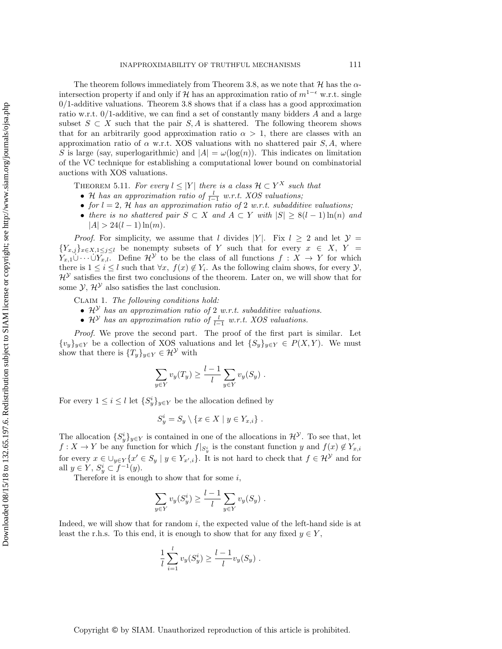The theorem follows immediately from Theorem [3.8,](#page-9-1) as we note that  $H$  has the  $\alpha$ intersection property if and only if H has an approximation ratio of  $m^{1-\epsilon}$  w.r.t. single  $0/1$ -additive valuations. Theorem [3.8](#page-9-1) shows that if a class has a good approximation ratio w.r.t.  $0/1$ -additive, we can find a set of constantly many bidders A and a large subset  $S \subset X$  such that the pair  $S, A$  is shattered. The following theorem shows that for an arbitrarily good approximation ratio  $\alpha > 1$ , there are classes with an approximation ratio of  $\alpha$  w.r.t. XOS valuations with no shattered pair S, A, where S is large (say, superlogarithmic) and  $|A| = \omega(\log(n))$ . This indicates on limitation of the VC technique for establishing a computational lower bound on combinatorial auctions with XOS valuations.

THEOREM 5.11. For every  $l \leq |Y|$  there is a class  $\mathcal{H} \subset Y^X$  such that

- H has an approximation ratio of  $\frac{l}{l-1}$  w.r.t. XOS valuations;
- for  $l = 2$ , H has an approximation ratio of 2 w.r.t. subadditive valuations;
- there is no shattered pair  $S \subset X$  and  $A \subset Y$  with  $|S| \geq 8(l-1)\ln(n)$  and  $|A| > 24(l - 1)\ln(m)$ .

*Proof.* For simplicity, we assume that l divides |Y|. Fix  $l \geq 2$  and let  $\mathcal{Y} =$  ${Y_{x,j}}_{x\in X,1\leq j\leq l}$  be nonempty subsets of Y such that for every  $x \in X$ ,  $Y =$  $Y_{x,1}\cup \cdots \cup Y_{x,l}$ . Define  $\mathcal{H}^{\mathcal{Y}}$  to be the class of all functions  $f: X \to Y$  for which there is  $1 \leq i \leq l$  such that  $\forall x, f(x) \notin Y_i$ . As the following claim shows, for every  $\mathcal{Y},$  $\mathcal{H}^{\mathcal{Y}}$  satisfies the first two conclusions of the theorem. Later on, we will show that for some  $\mathcal{Y}, \mathcal{H}^{\mathcal{Y}}$  also satisfies the last conclusion.

Claim 1. The following conditions hold:

- $\mathcal{H}^{\mathcal{Y}}$  has an approximation ratio of 2 w.r.t. subadditive valuations.
- $\mathcal{H}^{\mathcal{Y}}$  has an approximation ratio of  $\frac{l}{l-1}$  w.r.t. XOS valuations.

Proof. We prove the second part. The proof of the first part is similar. Let  ${v_y}_{y\in Y}$  be a collection of XOS valuations and let  ${S_y}_{y\in Y} \in P(X, Y)$ . We must show that there is  $\{T_y\}_{y\in Y} \in \mathcal{H}^{\mathcal{Y}}$  with

$$
\sum_{y \in Y} v_y(T_y) \ge \frac{l-1}{l} \sum_{y \in Y} v_y(S_y) .
$$

For every  $1 \leq i \leq l$  let  $\{S_y^i\}_{y \in Y}$  be the allocation defined by

$$
S_y^i = S_y \setminus \{x \in X \mid y \in Y_{x,i}\} .
$$

The allocation  $\{S_y^i\}_{y\in Y}$  is contained in one of the allocations in  $\mathcal{H}^{\mathcal{Y}}$ . To see that, let  $f: X \to Y$  be any function for which  $f|_{S_y^i}$  is the constant function y and  $f(x) \notin Y_{x,i}$ for every  $x \in \bigcup_{y \in Y} \{x' \in S_y \mid y \in Y_{x',i}\}.$  It is not hard to check that  $f \in \mathcal{H}^{\mathcal{Y}}$  and for all  $y \in Y$ ,  $S_y^i \subset f^{-1}(y)$ .

Therefore it is enough to show that for some  $i$ ,

$$
\sum_{y \in Y} v_y(S_y^i) \ge \frac{l-1}{l} \sum_{y \in Y} v_y(S_y) .
$$

Indeed, we will show that for random i, the expected value of the left-hand side is at least the r.h.s. To this end, it is enough to show that for any fixed  $y \in Y$ ,

$$
\frac{1}{l} \sum_{i=1}^{l} v_y(S_y^i) \ge \frac{l-1}{l} v_y(S_y) .
$$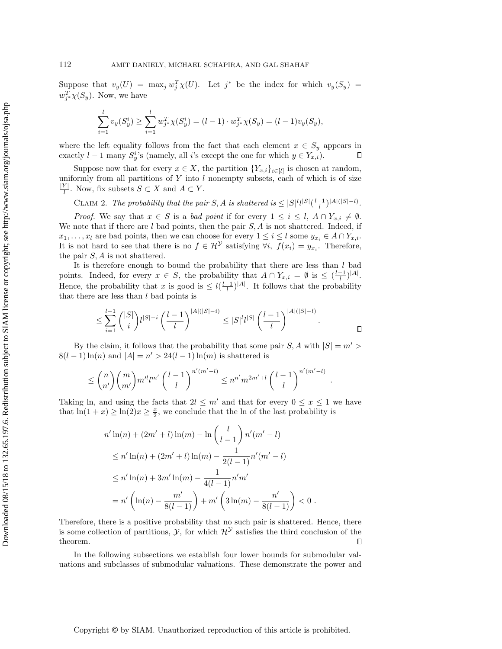Suppose that  $v_y(U) = \max_j w_j^T \chi(U)$ . Let  $j^*$  be the index for which  $v_y(S_y) =$  $w_{j^*}^T \chi(S_y)$ . Now, we have

$$
\sum_{i=1}^{l} v_y(S_y^i) \ge \sum_{i=1}^{l} w_{j^*}^T \chi(S_y^i) = (l-1) \cdot w_{j^*}^T \chi(S_y) = (l-1)v_y(S_y),
$$

where the left equality follows from the fact that each element  $x \in S_y$  appears in exactly  $l-1$  many  $S_y^i$ 's (namely, all i's except the one for which  $y \in Y_{x,i}$ ).  $\Box$ 

Suppose now that for every  $x \in X$ , the partition  $\{Y_{x,i}\}_{i \in [l]}$  is chosen at random, uniformly from all partitions of  $Y$  into  $l$  nonempty subsets, each of which is of size  $|Y|$  $\frac{Y}{l}$ . Now, fix subsets  $S \subset X$  and  $A \subset Y$ .

CLAIM 2. The probability that the pair  $S, A$  is shattered is  $\leq |S|^l l^{|S|} (\frac{l-1}{l})^{|A|(|S|-l)}$ .

*Proof.* We say that  $x \in S$  is a bad point if for every  $1 \leq i \leq l$ ,  $A \cap Y_{x,i} \neq \emptyset$ . We note that if there are  $l$  bad points, then the pair  $S, A$  is not shattered. Indeed, if  $x_1, \ldots, x_l$  are bad points, then we can choose for every  $1 \leq i \leq l$  some  $y_{x_i} \in A \cap Y_{x,i}$ . It is not hard to see that there is no  $f \in \mathcal{H}^{\mathcal{Y}}$  satisfying  $\forall i$ ,  $f(x_i) = y_{x_i}$ . Therefore, the pair  $S$ ,  $\tilde{A}$  is not shattered.

It is therefore enough to bound the probability that there are less than  $l$  bad points. Indeed, for every  $x \in S$ , the probability that  $A \cap Y_{x,i} = \emptyset$  is  $\leq \left(\frac{l-1}{l}\right)^{|A|}$ . Hence, the probability that x is good is  $\leq l(\frac{l-1}{l})^{|A|}$ . It follows that the probability that there are less than  $l$  bad points is

$$
\leq \sum_{i=1}^{l-1} {|S| \choose i} l^{|S|-i} \left(\frac{l-1}{l}\right)^{|A|(|S|-i)} \leq |S|^l l^{|S|} \left(\frac{l-1}{l}\right)^{|A|(|S|-l)}.
$$

.

By the claim, it follows that the probability that some pair  $S, A$  with  $|S| = m' > 0$  $8(l-1)\ln(n)$  and  $|A|=n' > 24(l-1)\ln(m)$  is shattered is

$$
\leq {n \choose n'} \binom{m}{m'} m'^l l^{m'} \left(\frac{l-1}{l}\right)^{n'(m'-l)} \leq n^{n'} m^{2m'+l} \left(\frac{l-1}{l}\right)^{n'(m'-l)}
$$

Taking ln, and using the facts that  $2l \leq m'$  and that for every  $0 \leq x \leq 1$  we have that  $\ln(1+x) \geq \ln(2)x \geq \frac{x}{2}$ , we conclude that the ln of the last probability is

$$
n' \ln(n) + (2m' + l) \ln(m) - \ln\left(\frac{l}{l-1}\right) n'(m' - l)
$$
  
\n
$$
\leq n' \ln(n) + (2m' + l) \ln(m) - \frac{1}{2(l-1)} n'(m' - l)
$$
  
\n
$$
\leq n' \ln(n) + 3m' \ln(m) - \frac{1}{4(l-1)} n' m'
$$
  
\n
$$
= n' \left(\ln(n) - \frac{m'}{8(l-1)}\right) + m' \left(3\ln(m) - \frac{n'}{8(l-1)}\right) < 0.
$$

Therefore, there is a positive probability that no such pair is shattered. Hence, there is some collection of partitions,  $\mathcal{Y}$ , for which  $\mathcal{H}^{\mathcal{Y}}$  satisfies the third conclusion of the theorem.  $\Box$ 

In the following subsections we establish four lower bounds for submodular valuations and subclasses of submodular valuations. These demonstrate the power and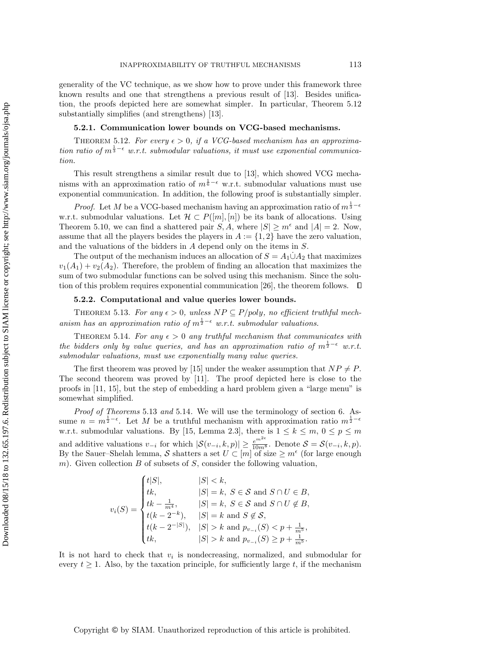generality of the VC technique, as we show how to prove under this framework three known results and one that strengthens a previous result of [\[13\]](#page-23-11). Besides unification, the proofs depicted here are somewhat simpler. In particular, Theorem [5.12](#page-17-0) substantially simplifies (and strengthens) [\[13\]](#page-23-11).

### 5.2.1. Communication lower bounds on VCG-based mechanisms.

<span id="page-17-0"></span>THEOREM 5.12. For every  $\epsilon > 0$ , if a VCG-based mechanism has an approximation ratio of  $m^{\frac{1}{3}-\epsilon}$  w.r.t. submodular valuations, it must use exponential communication.

This result strengthens a similar result due to [\[13\]](#page-23-11), which showed VCG mechanisms with an approximation ratio of  $m^{\frac{1}{6}-\epsilon}$  w.r.t. submodular valuations must use exponential communication. In addition, the following proof is substantially simpler.

*Proof.* Let M be a VCG-based mechanism having an approximation ratio of  $m^{\frac{1}{3}-\epsilon}$ w.r.t. submodular valuations. Let  $\mathcal{H} \subset P([m], [n])$  be its bank of allocations. Using Theorem [5.10,](#page-14-1) we can find a shattered pair  $S, A$ , where  $|S| \geq m^{\epsilon}$  and  $|A| = 2$ . Now, assume that all the players besides the players in  $A := \{1, 2\}$  have the zero valuation, and the valuations of the bidders in A depend only on the items in S.

The output of the mechanism induces an allocation of  $S = A_1 \dot{\cup} A_2$  that maximizes  $v_1(A_1) + v_2(A_2)$ . Therefore, the problem of finding an allocation that maximizes the sum of two submodular functions can be solved using this mechanism. Since the solu-tion of this problem requires exponential communication [\[26\]](#page-24-14), the theorem follows.  $\Box$ 

## 5.2.2. Computational and value queries lower bounds.

<span id="page-17-1"></span>THEOREM 5.13. For any  $\epsilon > 0$ , unless  $NP \subseteq P/poly$ , no efficient truthful mechanism has an approximation ratio of  $m^{\frac{1}{2}-\epsilon}$  w.r.t. submodular valuations.

<span id="page-17-2"></span>THEOREM 5.14. For any  $\epsilon > 0$  any truthful mechanism that communicates with the bidders only by value queries, and has an approximation ratio of  $m^{\frac{1}{2}-\epsilon}$  w.r.t. submodular valuations, must use exponentially many value queries.

The first theorem was proved by [\[15\]](#page-23-1) under the weaker assumption that  $NP \neq P$ . The second theorem was proved by [\[11\]](#page-23-0). The proof depicted here is close to the proofs in [\[11,](#page-23-0) [15\]](#page-23-1), but the step of embedding a hard problem given a "large menu" is somewhat simplified.

Proof of Theorems [5.13](#page-17-1) and [5.14](#page-17-2). We will use the terminology of section [6.](#page-18-0) Assume  $n = m^{\frac{1}{2} - \epsilon}$ . Let M be a truthful mechanism with approximation ratio  $m^{\frac{1}{2} - \epsilon}$ . w.r.t. submodular valuations. By [\[15,](#page-23-1) Lemma 2.3], there is  $1 \leq k \leq m$ ,  $0 \leq p \leq m$ and additive valuations  $v_{-i}$  for which  $|\mathcal{S}(v_{-i}, k, p)| \geq \frac{e^{m^{2\epsilon}}}{10m^8}$ . Denote  $\mathcal{S} = \mathcal{S}(v_{-i}, k, p)$ . By the Sauer–Shelah lemma, S shatters a set  $U \subset [m]$  of size  $\geq m^{\epsilon}$  (for large enough m). Given collection  $B$  of subsets of  $S$ , consider the following valuation,

$$
v_i(S) = \begin{cases} t|S|, & |S| < k, \\ tk, & |S| = k, S \in S \text{ and } S \cap U \in B, \\ tk - \frac{1}{m^4}, & |S| = k, S \in S \text{ and } S \cap U \notin B, \\ t(k - 2^{-k}), & |S| = k \text{ and } S \notin S, \\ t(k - 2^{-|S|}), & |S| > k \text{ and } p_{v_{-i}}(S) < p + \frac{1}{m^5}, \\ tk, & |S| > k \text{ and } p_{v_{-i}}(S) \ge p + \frac{1}{m^5}. \end{cases}
$$

It is not hard to check that  $v_i$  is nondecreasing, normalized, and submodular for every  $t \geq 1$ . Also, by the taxation principle, for sufficiently large t, if the mechanism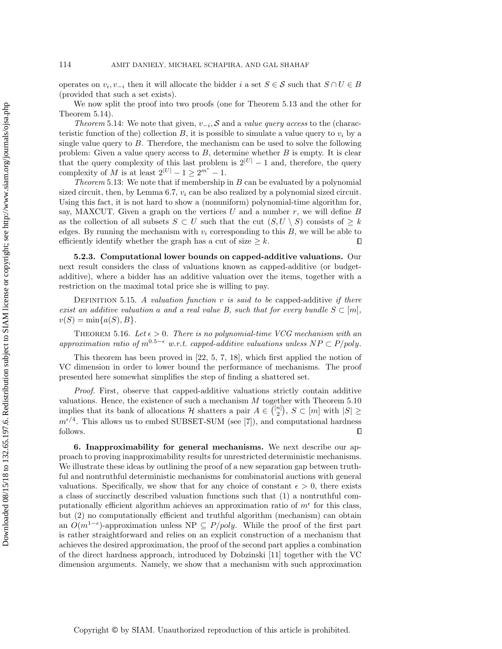operates on  $v_i, v_{-i}$  then it will allocate the bidder i a set  $S \in \mathcal{S}$  such that  $S \cap U \in B$ (provided that such a set exists).

We now split the proof into two proofs (one for Theorem [5.13](#page-17-1) and the other for Theorem [5.14\)](#page-17-2).

Theorem [5.14:](#page-17-2) We note that given,  $v_{-i}$ , S and a value query access to the (characteristic function of the) collection B, it is possible to simulate a value query to  $v_i$  by a single value query to  $B$ . Therefore, the mechanism can be used to solve the following problem: Given a value query access to  $B$ , determine whether  $B$  is empty. It is clear that the query complexity of this last problem is  $2|U| - 1$  and, therefore, the query complexity of M is at least  $2^{|U|} - 1 \ge 2^{m^{\epsilon}} - 1$ .

*Theorem* [5.13:](#page-17-1) We note that if membership in  $B$  can be evaluated by a polynomial sized circuit, then, by Lemma [6.7,](#page-21-1)  $v_i$  can be also realized by a polynomial sized circuit. Using this fact, it is not hard to show a (nonuniform) polynomial-time algorithm for, say, MAXCUT. Given a graph on the vertices  $U$  and a number  $r$ , we will define  $B$ as the collection of all subsets  $S \subset U$  such that the cut  $(S, U \setminus S)$  consists of  $\geq k$ edges. By running the mechanism with  $v_i$  corresponding to this  $B$ , we will be able to efficiently identify whether the graph has a cut of size  $\geq k$ .  $\Box$ 

5.2.3. Computational lower bounds on capped-additive valuations. Our next result considers the class of valuations known as capped-additive (or budgetadditive), where a bidder has an additive valuation over the items, together with a restriction on the maximal total price she is willing to pay.

DEFINITION 5.15. A valuation function v is said to be capped-additive if there exist an additive valuation a and a real value B, such that for every bundle  $S \subset [m]$ ,  $v(S) = \min\{a(S), B\}.$ 

THEOREM 5.16. Let  $\epsilon > 0$ . There is no polynomial-time VCG mechanism with an approximation ratio of  $m^{0.5-\epsilon}$  w.r.t. capped-additive valuations unless  $NP \subset P/poly$ .

This theorem has been proved in [\[22,](#page-24-5) [5,](#page-23-4) [7,](#page-23-3) [18\]](#page-24-4), which first applied the notion of VC dimension in order to lower bound the performance of mechanisms. The proof presented here somewhat simplifies the step of finding a shattered set.

Proof. First, observe that capped-additive valuations strictly contain additive valuations. Hence, the existence of such a mechanism M together with Theorem [5.10](#page-14-1) implies that its bank of allocations H shatters a pair  $A \in \binom{[n]}{2}$ ,  $S \subset [m]$  with  $|S| \geq$  $m^{\epsilon/4}$ . This allows us to embed SUBSET-SUM (see [\[7\]](#page-23-3)), and computational hardness follows.  $\Box$ 

<span id="page-18-0"></span>6. Inapproximability for general mechanisms. We next describe our approach to proving inapproximability results for unrestricted deterministic mechanisms. We illustrate these ideas by outlining the proof of a new separation gap between truthful and nontruthful deterministic mechanisms for combinatorial auctions with general valuations. Specifically, we show that for any choice of constant  $\epsilon > 0$ , there exists a class of succinctly described valuation functions such that (1) a nontruthful computationally efficient algorithm achieves an approximation ratio of  $m^{\epsilon}$  for this class, but (2) no computationally efficient and truthful algorithm (mechanism) can obtain an  $O(m^{1-\epsilon})$ -approximation unless NP  $\subseteq P/poly$ . While the proof of the first part is rather straightforward and relies on an explicit construction of a mechanism that achieves the desired approximation, the proof of the second part applies a combination of the direct hardness approach, introduced by Dobzinski [\[11\]](#page-23-0) together with the VC dimension arguments. Namely, we show that a mechanism with such approximation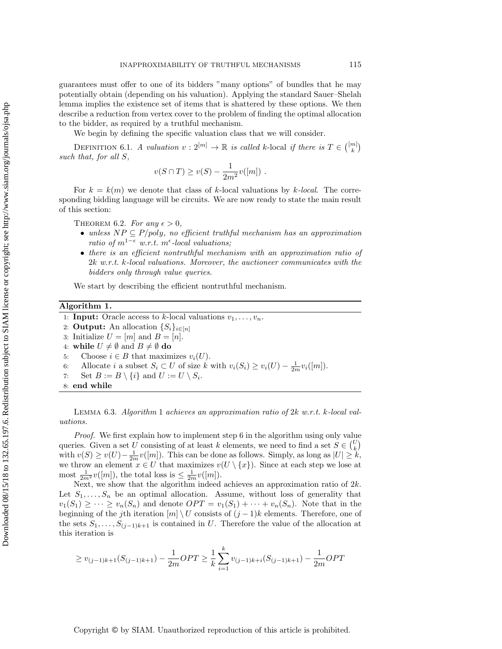Downloaded 08/15/18 to 132.65.197.6. Redistribution subject to SIAM license or copyright; see http://www.siam.org/journals/ojsa.php Downloaded 08/15/18 to 132.65.197.6. Redistribution subject to SIAM license or copyright; see http://www.siam.org/journals/ojsa.php

guarantees must offer to one of its bidders "many options" of bundles that he may potentially obtain (depending on his valuation). Applying the standard Sauer–Shelah lemma implies the existence set of items that is shattered by these options. We then describe a reduction from vertex cover to the problem of finding the optimal allocation to the bidder, as required by a truthful mechanism.

We begin by defining the specific valuation class that we will consider.

DEFINITION 6.1. A valuation  $v: 2^{[m]} \to \mathbb{R}$  is called k-local if there is  $T \in \binom{[m]}{k}$ such that, for all S,

$$
v(S \cap T) \ge v(S) - \frac{1}{2m^2}v([m])
$$
.

For  $k = k(m)$  we denote that class of k-local valuations by k-local. The corresponding bidding language will be circuits. We are now ready to state the main result of this section:

<span id="page-19-2"></span>THEOREM 6.2. For any  $\epsilon > 0$ ,

- unless  $NP \subseteq P/poly$ , no efficient truthful mechanism has an approximation ratio of  $m^{1-\epsilon}$  w.r.t.  $m^{\epsilon}$ -local valuations;
- there is an efficient nontruthful mechanism with an approximation ratio of 2k w.r.t. k-local valuations. Moreover, the auctioneer communicates with the bidders only through value queries.

We start by describing the efficient nontruthful mechanism.

## Algorithm 1.

<span id="page-19-0"></span>1: **Input:** Oracle access to k-local valuations  $v_1, \ldots, v_n$ .

2: **Output:** An allocation  $\{S_i\}_{i\in[n]}$ 

- 3: Initialize  $U = [m]$  and  $B = [n]$ .
- 4: while  $U \neq \emptyset$  and  $B \neq \emptyset$  do
- <span id="page-19-1"></span>5: Choose  $i \in B$  that maximizes  $v_i(U)$ .
- 6: Allocate *i* a subset  $S_i \subset U$  of size k with  $v_i(S_i) \ge v_i(U) \frac{1}{2m}v_i([m])$ .
- 7: Set  $B := B \setminus \{i\}$  and  $U := U \setminus S_i$ .
- 8: end while

Lemma 6.3. Algorithm [1](#page-19-0) achieves an approximation ratio of 2k w.r.t. k-local valuations.

Proof. We first explain how to implement step [6](#page-19-1) in the algorithm using only value queries. Given a set U consisting of at least k elements, we need to find a set  $S \in \binom{U}{k}$ with  $v(S) \ge v(U) - \frac{1}{2m}v([m])$ . This can be done as follows. Simply, as long as  $|U| \ge k$ , we throw an element  $x \in U$  that maximizes  $v(U \setminus \{x\})$ . Since at each step we lose at most  $\frac{1}{2m^2}v([m])$ , the total loss is  $\leq \frac{1}{2m}v([m])$ .

Next, we show that the algorithm indeed achieves an approximation ratio of  $2k$ . Let  $S_1, \ldots, S_n$  be an optimal allocation. Assume, without loss of generality that  $v_1(S_1) \geq \cdots \geq v_n(S_n)$  and denote  $OPT = v_1(S_1) + \cdots + v_n(S_n)$ . Note that in the beginning of the jth iteration  $[m] \setminus U$  consists of  $(j-1)k$  elements. Therefore, one of the sets  $S_1, \ldots, S_{(j-1)k+1}$  is contained in U. Therefore the value of the allocation at this iteration is

$$
\geq v_{(j-1)k+1}(S_{(j-1)k+1}) - \frac{1}{2m}OPT \geq \frac{1}{k} \sum_{i=1}^{k} v_{(j-1)k+i}(S_{(j-1)k+1}) - \frac{1}{2m}OPT
$$

Copyright © by SIAM. Unauthorized reproduction of this article is prohibited.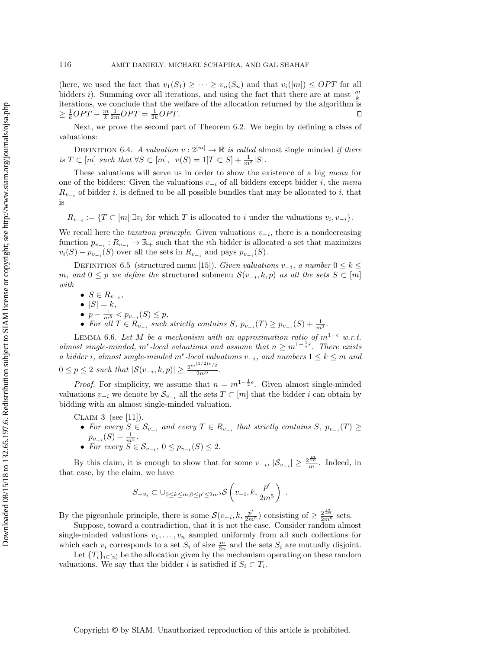(here, we used the fact that  $v_1(S_1) \geq \cdots \geq v_n(S_n)$  and that  $v_i([m]) \leq OPT$  for all bidders *i*). Summing over all iterations, and using the fact that there are at most  $\frac{m}{k}$ iterations, we conclude that the welfare of the allocation returned by the algorithm is  $\geq \frac{1}{k}OPT - \frac{m}{k} \frac{1}{2m} OPT = \frac{1}{2k} OPT.$ П

Next, we prove the second part of Theorem [6.2.](#page-19-2) We begin by defining a class of valuations:

DEFINITION 6.4. A valuation  $v: 2^{[m]} \to \mathbb{R}$  is called almost single minded if there is  $T \subset [m]$  such that  $\forall S \subset [m]$ ,  $v(S) = 1[T \subset S] + \frac{1}{m^3}|S|$ .

These valuations will serve us in order to show the existence of a big menu for one of the bidders: Given the valuations  $v_{-i}$  of all bidders except bidder i, the menu  $R_{v_{-i}}$  of bidder i, is defined to be all possible bundles that may be allocated to i, that is

 $R_{v_{-i}} := \{T \subset [m] | \exists v_i \text{ for which } T \text{ is allocated to } i \text{ under the valuations } v_i, v_{-i}\}.$ 

We recall here the *taxation principle*. Given valuations  $v_{-i}$ , there is a nondecreasing function  $p_{v_{-i}}: R_{v_{-i}} \to \mathbb{R}_+$  such that the *i*th bidder is allocated a set that maximizes  $v_i(S) - p_{v_{-i}}(S)$  over all the sets in  $R_{v_{-i}}$  and pays  $p_{v_{-i}}(S)$ .

DEFINITION 6.5 (structured menu [\[15\]](#page-23-1)). Given valuations  $v_{-i}$ , a number  $0 \leq k \leq$ m, and  $0 \leq p$  we define the structured submenu  $\mathcal{S}(v_{-i}, k, p)$  as all the sets  $S \subset [m]$ with

- $S \in R_{v_{-i}}$
- $|S| = k$ ,
- $p \frac{1}{m^5} < p_{v_{-i}}(S) \leq p$ ,
- For all  $T \in R_{v_{-i}}$  such strictly contains  $S, p_{v_{-i}}(T) \geq p_{v_{-i}}(S) + \frac{1}{m^3}$ .

LEMMA 6.6. Let M be a mechanism with an approximation ratio of  $m^{1-\epsilon}$  w.r.t. almost single-minded, m<sup> $\epsilon$ </sup>-local valuations and assume that  $n \geq m^{1-\frac{1}{2}\epsilon}$ . There exists a bidder i, almost single-minded m<sup> $\epsilon$ </sup>-local valuations  $v_{-i}$ , and numbers  $1 \leq k \leq m$  and  $0 \le p \le 2$  such that  $|\mathcal{S}(v_{-i}, k, p)| \ge \frac{2^{m^{(1/2)\epsilon}/2}}{2m^6}$ .

*Proof.* For simplicity, we assume that  $n = m^{1-\frac{1}{2}\epsilon}$ . Given almost single-minded valuations  $v_{-i}$  we denote by  $\mathcal{S}_{v_{-i}}$  all the sets  $T \subset [m]$  that the bidder i can obtain by bidding with an almost single-minded valuation.

CLAIM 3 (see [\[11\]](#page-23-0)).

- For every  $S \in \mathcal{S}_{v_{-i}}$  and every  $T \in R_{v_{-i}}$  that strictly contains  $S, p_{v_{-i}}(T) \geq$  $p_{v_{-i}}(S) + \frac{1}{m^3}.$
- For every  $S \in \mathcal{S}_{v_{-i}}$ ,  $0 \leq p_{v_{-i}}(S) \leq 2$ .

By this claim, it is enough to show that for some  $v_{-i}$ ,  $|\mathcal{S}_{v_{-i}}| \geq \frac{2^{\frac{m}{2n}}}{m}$ . Indeed, in that case, by the claim, we have

$$
S_{-v_i} \subset \bigcup_{0 \leq k \leq m, 0 \leq p' \leq 2m^5} \mathcal{S}\left(v_{-i}, k, \frac{p'}{2m^5}\right) .
$$

By the pigeonhole principle, there is some  $\mathcal{S}(v_{-i}, k, \frac{p'}{2m^5})$  consisting of  $\geq \frac{2^{\frac{m}{2m}}}{2m^6}$  sets.

Suppose, toward a contradiction, that it is not the case. Consider random almost single-minded valuations  $v_1, \ldots, v_n$  sampled uniformly from all such collections for which each  $v_i$  corresponds to a set  $S_i$  of size  $\frac{m}{2n}$  and the sets  $S_i$  are mutually disjoint.

Let  ${T_i}_{i\in[n]}$  be the allocation given by the mechanism operating on these random valuations. We say that the bidder *i* is satisfied if  $S_i \subset T_i$ .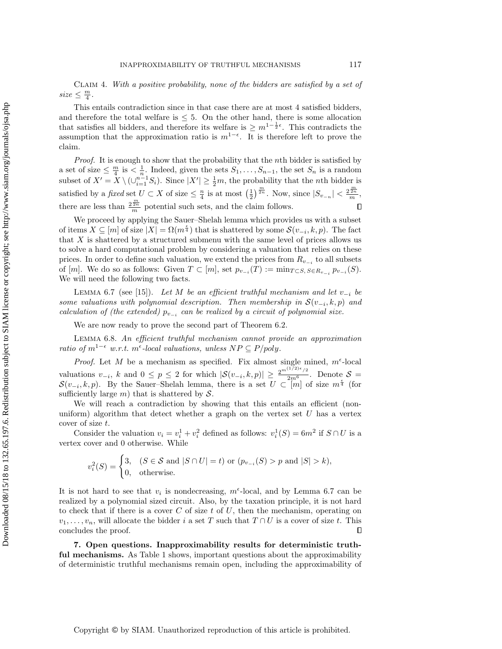Claim 4. With a positive probability, none of the bidders are satisfied by a set of  $size \leq \frac{m}{4}.$ 

This entails contradiction since in that case there are at most 4 satisfied bidders, and therefore the total welfare is  $\leq 5$ . On the other hand, there is some allocation that satisfies all bidders, and therefore its welfare is  $\geq m^{1-\frac{1}{2}\epsilon}$ . This contradicts the assumption that the approximation ratio is  $m^{1-\epsilon}$ . It is therefore left to prove the claim.

Proof. It is enough to show that the probability that the nth bidder is satisfied by a set of size  $\leq \frac{m}{4}$  is  $\lt \frac{1}{n}$ . Indeed, given the sets  $S_1, \ldots, S_{n-1}$ , the set  $S_n$  is a random subset of  $X' = X \setminus (\cup_{i=1}^{n-1} S_i)$ . Since  $|X'| \geq \frac{1}{2}m$ , the probability that the *n*th bidder is satisfied by a fixed set  $U \subset X$  of size  $\leq \frac{n}{4}$  is at most  $\left(\frac{1}{2}\right)^{\frac{m}{2n}}$ . Now, since  $|S_{v_{-n}}| < \frac{2^{\frac{m}{2n}}}{m}$ , there are less than  $\frac{2^{\frac{m}{2n}}}{m}$  potential such sets, and the claim follows.  $\Box$ 

We proceed by applying the Sauer–Shelah lemma which provides us with a subset of items  $X \subseteq [m]$  of size  $|X| = \Omega(m^{\frac{\epsilon}{4}})$  that is shattered by some  $\mathcal{S}(v_{-i}, k, p)$ . The fact that X is shattered by a structured submenu with the same level of prices allows us to solve a hard computational problem by considering a valuation that relies on these prices. In order to define such valuation, we extend the prices from  $R_{v_{-i}}$  to all subsets of  $[m]$ . We do so as follows: Given  $T \subset [m]$ , set  $p_{v_{-i}}(T) := \min_{T \subset S, S \in R_{v_{-i}}} p_{v_{-i}}(S)$ . We will need the following two facts.

<span id="page-21-1"></span>LEMMA 6.7 (see [\[15\]](#page-23-1)). Let M be an efficient truthful mechanism and let  $v_{-i}$  be some valuations with polynomial description. Then membership in  $\mathcal{S}(v_{-i},k,p)$  and calculation of (the extended)  $p_{v_{-i}}$  can be realized by a circuit of polynomial size.

We are now ready to prove the second part of Theorem [6.2.](#page-19-2)

Lemma 6.8. An efficient truthful mechanism cannot provide an approximation ratio of  $m^{1-\epsilon}$  w.r.t.  $m^{\epsilon}$ -local valuations, unless  $NP \subseteq P/poly$ .

*Proof.* Let M be a mechanism as specified. Fix almost single mined,  $m^{\epsilon}$ -local valuations  $v_{-i}$ , k and  $0 \le p \le 2$  for which  $|\mathcal{S}(v_{-i}, k, p)| \ge \frac{2^{m(1/2)\epsilon} / 2}{2m^6}$ . Denote  $\mathcal{S} =$  $\mathcal{S}(v_{-i},k,p)$ . By the Sauer–Shelah lemma, there is a set  $U \subset [m]$  of size  $m^{\frac{\epsilon}{4}}$  (for sufficiently large m) that is shattered by  $S$ .

We will reach a contradiction by showing that this entails an efficient (nonuniform) algorithm that detect whether a graph on the vertex set  $U$  has a vertex cover of size t.

Consider the valuation  $v_i = v_i^1 + v_i^2$  defined as follows:  $v_i^1(S) = 6m^2$  if  $S \cap U$  is a vertex cover and 0 otherwise. While

$$
v_i^2(S) = \begin{cases} 3, & (S \in \mathcal{S} \text{ and } |S \cap U| = t) \text{ or } (p_{v_{-i}}(S) > p \text{ and } |S| > k), \\ 0, & \text{otherwise.} \end{cases}
$$

It is not hard to see that  $v_i$  is nondecreasing,  $m^{\epsilon}$ -local, and by Lemma [6.7](#page-21-1) can be realized by a polynomial sized circuit. Also, by the taxation principle, it is not hard to check that if there is a cover  $C$  of size  $t$  of  $U$ , then the mechanism, operating on  $v_1, \ldots, v_n$ , will allocate the bidder i a set T such that  $T \cap U$  is a cover of size t. This concludes the proof.  $\Box$ 

<span id="page-21-0"></span>7. Open questions. Inapproximability results for deterministic truthful mechanisms. As Table [1](#page-3-0) shows, important questions about the approximability of deterministic truthful mechanisms remain open, including the approximability of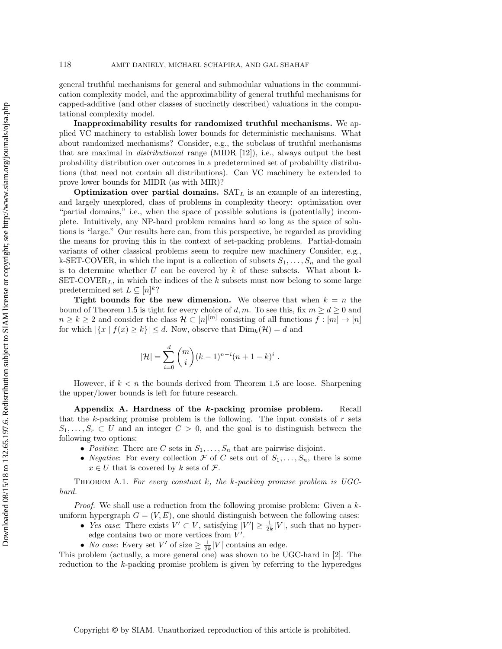general truthful mechanisms for general and submodular valuations in the communication complexity model, and the approximability of general truthful mechanisms for capped-additive (and other classes of succinctly described) valuations in the computational complexity model.

Inapproximability results for randomized truthful mechanisms. We applied VC machinery to establish lower bounds for deterministic mechanisms. What about randomized mechanisms? Consider, e.g., the subclass of truthful mechanisms that are maximal in distributional range (MIDR [\[12\]](#page-23-15)), i.e., always output the best probability distribution over outcomes in a predetermined set of probability distributions (that need not contain all distributions). Can VC machinery be extended to prove lower bounds for MIDR (as with MIR)?

Optimization over partial domains.  $SAT<sub>L</sub>$  is an example of an interesting, and largely unexplored, class of problems in complexity theory: optimization over "partial domains," i.e., when the space of possible solutions is (potentially) incomplete. Intuitively, any NP-hard problem remains hard so long as the space of solutions is "large." Our results here can, from this perspective, be regarded as providing the means for proving this in the context of set-packing problems. Partial-domain variants of other classical problems seem to require new machinery Consider, e.g., k-SET-COVER, in which the input is a collection of subsets  $S_1, \ldots, S_n$  and the goal is to determine whether  $U$  can be covered by  $k$  of these subsets. What about k- $SET-COVER<sub>L</sub>$ , in which the indices of the k subsets must now belong to some large predetermined set  $L \subseteq [n]^k$ ?

Tight bounds for the new dimension. We observe that when  $k = n$  the bound of Theorem [1.5](#page-2-0) is tight for every choice of d, m. To see this, fix  $m \ge d \ge 0$  and  $n \geq k \geq 2$  and consider the class  $\mathcal{H} \subset [n]^{[m]}$  consisting of all functions  $f : [m] \to [n]$ for which  $|\{x \mid f(x) \geq k\}| \leq d$ . Now, observe that  $\text{Dim}_k(\mathcal{H}) = d$  and

$$
|\mathcal{H}| = \sum_{i=0}^{d} {m \choose i} (k-1)^{n-i} (n+1-k)^{i}.
$$

However, if  $k < n$  the bounds derived from Theorem [1.5](#page-2-0) are loose. Sharpening the upper/lower bounds is left for future research.

Appendix A. Hardness of the k-packing promise problem. Recall that the  $k$ -packing promise problem is the following. The input consists of  $r$  sets  $S_1, \ldots, S_r \subset U$  and an integer  $C > 0$ , and the goal is to distinguish between the following two options:

- Positive: There are C sets in  $S_1, \ldots, S_n$  that are pairwise disjoint.
- *Negative:* For every collection  $\mathcal F$  of C sets out of  $S_1, \ldots, S_n$ , there is some  $x \in U$  that is covered by k sets of  $\mathcal{F}$ .

<span id="page-22-0"></span>THEOREM A.1. For every constant  $k$ , the k-packing promise problem is UGChard.

Proof. We shall use a reduction from the following promise problem: Given a kuniform hypergraph  $G = (V, E)$ , one should distinguish between the following cases:

- Yes case: There exists  $V' \subset V$ , satisfying  $|V'| \geq \frac{1}{2k}|V|$ , such that no hyperedge contains two or more vertices from  $V'$ .
- *No case*: Every set  $V'$  of size  $\geq \frac{1}{2k}|V|$  contains an edge.

This problem (actually, a more general one) was shown to be UGC-hard in [\[2\]](#page-23-14). The reduction to the k-packing promise problem is given by referring to the hyperedges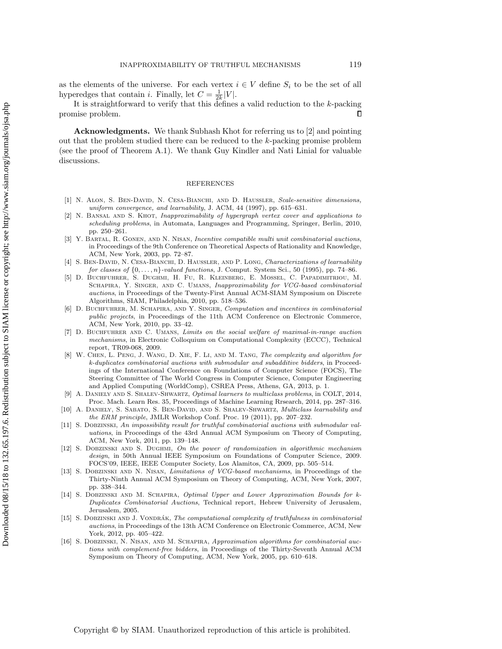as the elements of the universe. For each vertex  $i \in V$  define  $S_i$  to be the set of all hyperedges that contain *i*. Finally, let  $C = \frac{1}{2k}|V|$ .

It is straightforward to verify that this defines a valid reduction to the  $k$ -packing promise problem. Л

Acknowledgments. We thank Subhash Khot for referring us to [\[2\]](#page-23-14) and pointing out that the problem studied there can be reduced to the k-packing promise problem (see the proof of Theorem [A.1\)](#page-22-0). We thank Guy Kindler and Nati Linial for valuable discussions.

#### REFERENCES

- <span id="page-23-6"></span>[1] N. ALON, S. BEN-DAVID, N. CESA-BIANCHI, AND D. HAUSSLER, Scale-sensitive dimensions, uniform convergence, and learnability, J. ACM, 44 (1997), pp. 615–631.
- <span id="page-23-14"></span>N. BANSAL AND S. KHOT, Inapproximability of hypergraph vertex cover and applications to scheduling problems, in Automata, Languages and Programming, Springer, Berlin, 2010, pp. 250–261.
- <span id="page-23-10"></span>[3] Y. Bartal, R. Gonen, and N. Nisan, Incentive compatible multi unit combinatorial auctions, in Proceedings of the 9th Conference on Theoretical Aspects of Rationality and Knowledge, ACM, New York, 2003, pp. 72–87.
- <span id="page-23-5"></span>[4] S. BEN-DAVID, N. CESA-BIANCHI, D. HAUSSLER, AND P. LONG, Characterizations of learnability for classes of  $\{0, \ldots, n\}$ -valued functions, J. Comput. System Sci., 50 (1995), pp. 74–86.
- <span id="page-23-4"></span>[5] D. Buchfuhrer, S. Dughmi, H. Fu, R. Kleinberg, E. Mossel, C. Papadimitriou, M. SCHAPIRA, Y. SINGER, AND C. UMANS, Inapproximability for VCG-based combinatorial auctions, in Proceedings of the Twenty-First Annual ACM-SIAM Symposium on Discrete Algorithms, SIAM, Philadelphia, 2010, pp. 518–536.
- <span id="page-23-2"></span>[6] D. BUCHFUHRER, M. SCHAPIRA, AND Y. SINGER, Computation and incentives in combinatorial public projects, in Proceedings of the 11th ACM Conference on Electronic Commerce, ACM, New York, 2010, pp. 33–42.
- <span id="page-23-3"></span>[7] D. Buchfuhrer and C. Umans, Limits on the social welfare of maximal-in-range auction mechanisms, in Electronic Colloquium on Computational Complexity (ECCC), Technical report, TR09-068, 2009.
- <span id="page-23-13"></span>[8] W. Chen, L. Peng, J. Wang, D. Xie, F. Li, and M. Tang, The complexity and algorithm for k-duplicates combinatorial auctions with submodular and subadditive bidders, in Proceedings of the International Conference on Foundations of Computer Science (FOCS), The Steering Committee of The World Congress in Computer Science, Computer Engineering and Applied Computing (WorldComp), CSREA Press, Athens, GA, 2013, p. 1.
- <span id="page-23-8"></span>[9] A. Daniely and S. Shalev-Shwartz, Optimal learners to multiclass problems, in COLT, 2014, Proc. Mach. Learn Res. 35, Proceedings of Machine Learning Rrsearch, 2014, pp. 287–316.
- <span id="page-23-7"></span>[10] A. DANIELY, S. SABATO, S. BEN-DAVID, AND S. SHALEV-SHWARTZ, *Multiclass learnability and* the ERM principle, JMLR Workshop Conf. Proc. 19 (2011), pp. 207–232.
- <span id="page-23-0"></span>[11] S. Dobzinski, An impossibility result for truthful combinatorial auctions with submodular valuations, in Proceedings of the 43rd Annual ACM Symposium on Theory of Computing, ACM, New York, 2011, pp. 139–148.
- <span id="page-23-15"></span>[12] S. DOBZINSKI AND S. DUGHMI, On the power of randomization in algorithmic mechanism design, in 50th Annual IEEE Symposium on Foundations of Computer Science, 2009. FOCS'09, IEEE, IEEE Computer Society, Los Alamitos, CA, 2009, pp. 505–514.
- <span id="page-23-11"></span>[13] S. Dobzinski and N. Nisan, Limitations of VCG-based mechanisms, in Proceedings of the Thirty-Ninth Annual ACM Symposium on Theory of Computing, ACM, New York, 2007, pp. 338–344.
- <span id="page-23-12"></span>[14] S. DOBZINSKI AND M. SCHAPIRA, Optimal Upper and Lower Approximation Bounds for k-Duplicates Combinatorial Auctions, Technical report, Hebrew University of Jerusalem, Jerusalem, 2005.
- <span id="page-23-1"></span>[15] S. DOBZINSKI AND J. VONDRÁK, The computational complexity of truthfulness in combinatorial auctions, in Proceedings of the 13th ACM Conference on Electronic Commerce, ACM, New York, 2012, pp. 405–422.
- <span id="page-23-9"></span>[16] S. DOBZINSKI, N. NISAN, AND M. SCHAPIRA, Approximation algorithms for combinatorial auctions with complement-free bidders, in Proceedings of the Thirty-Seventh Annual ACM Symposium on Theory of Computing, ACM, New York, 2005, pp. 610–618.

Copyright © by SIAM. Unauthorized reproduction of this article is prohibited.